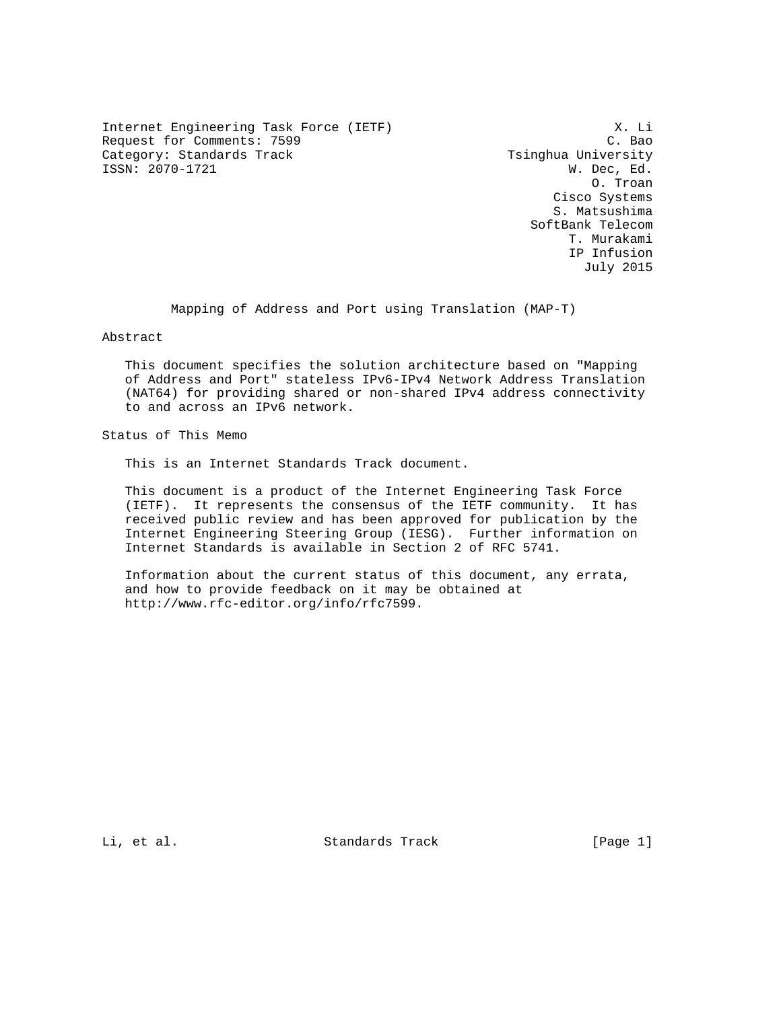Internet Engineering Task Force (IETF) X. Li Request for Comments: 7599 C. Bao Category: Standards Track The Category: Standards Track ISSN: 2070-1721 W. Dec, Ed.

 O. Troan Cisco Systems S. Matsushima SoftBank Telecom T. Murakami IP Infusion July 2015

Mapping of Address and Port using Translation (MAP-T)

Abstract

 This document specifies the solution architecture based on "Mapping of Address and Port" stateless IPv6-IPv4 Network Address Translation (NAT64) for providing shared or non-shared IPv4 address connectivity to and across an IPv6 network.

Status of This Memo

This is an Internet Standards Track document.

 This document is a product of the Internet Engineering Task Force (IETF). It represents the consensus of the IETF community. It has received public review and has been approved for publication by the Internet Engineering Steering Group (IESG). Further information on Internet Standards is available in Section 2 of RFC 5741.

 Information about the current status of this document, any errata, and how to provide feedback on it may be obtained at http://www.rfc-editor.org/info/rfc7599.

Li, et al. Standards Track [Page 1]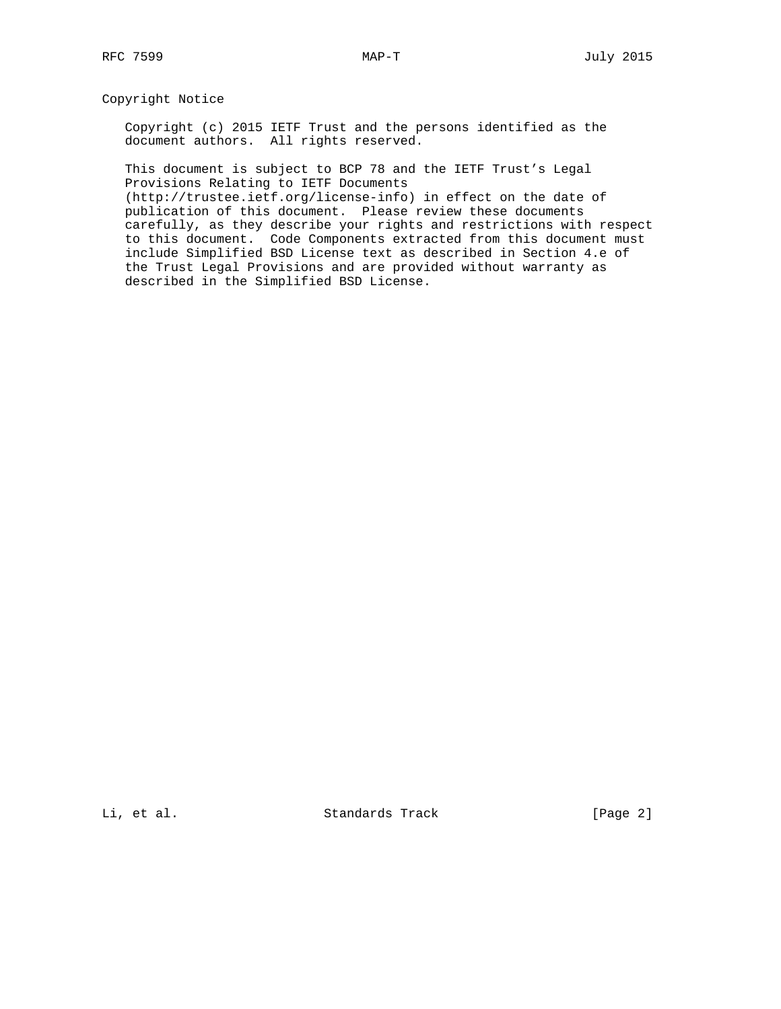# Copyright Notice

 Copyright (c) 2015 IETF Trust and the persons identified as the document authors. All rights reserved.

 This document is subject to BCP 78 and the IETF Trust's Legal Provisions Relating to IETF Documents

 (http://trustee.ietf.org/license-info) in effect on the date of publication of this document. Please review these documents carefully, as they describe your rights and restrictions with respect to this document. Code Components extracted from this document must include Simplified BSD License text as described in Section 4.e of the Trust Legal Provisions and are provided without warranty as described in the Simplified BSD License.

Li, et al. Standards Track [Page 2]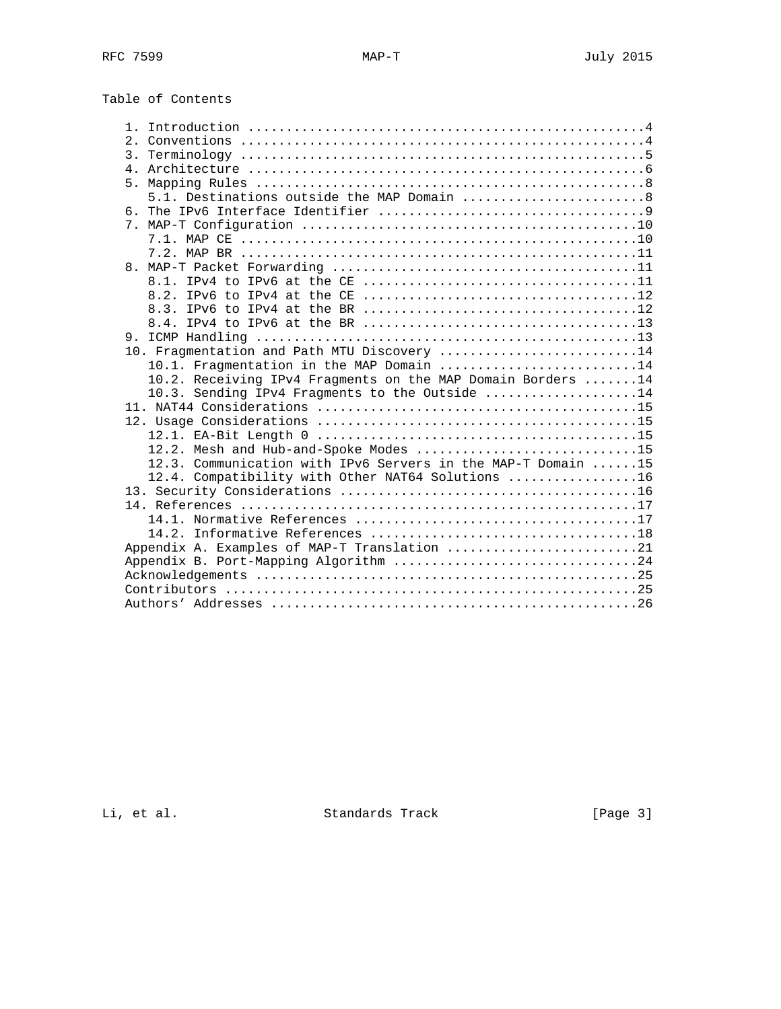Table of Contents

| 5.1. Destinations outside the MAP Domain 8                   |
|--------------------------------------------------------------|
|                                                              |
|                                                              |
|                                                              |
|                                                              |
|                                                              |
|                                                              |
|                                                              |
|                                                              |
|                                                              |
|                                                              |
| 10. Fragmentation and Path MTU Discovery 14                  |
| 10.1. Fragmentation in the MAP Domain 14                     |
| 10.2. Receiving IPv4 Fragments on the MAP Domain Borders 14  |
| 10.3. Sending IPv4 Fragments to the Outside 14               |
|                                                              |
|                                                              |
|                                                              |
| 12.2. Mesh and Hub-and-Spoke Modes 15                        |
| 12.3. Communication with IPv6 Servers in the MAP-T Domain 15 |
| 12.4. Compatibility with Other NAT64 Solutions 16            |
|                                                              |
|                                                              |
|                                                              |
|                                                              |
| Appendix A. Examples of MAP-T Translation 21                 |
| Appendix B. Port-Mapping Algorithm 24                        |
|                                                              |
|                                                              |
|                                                              |

Li, et al. Standards Track [Page 3]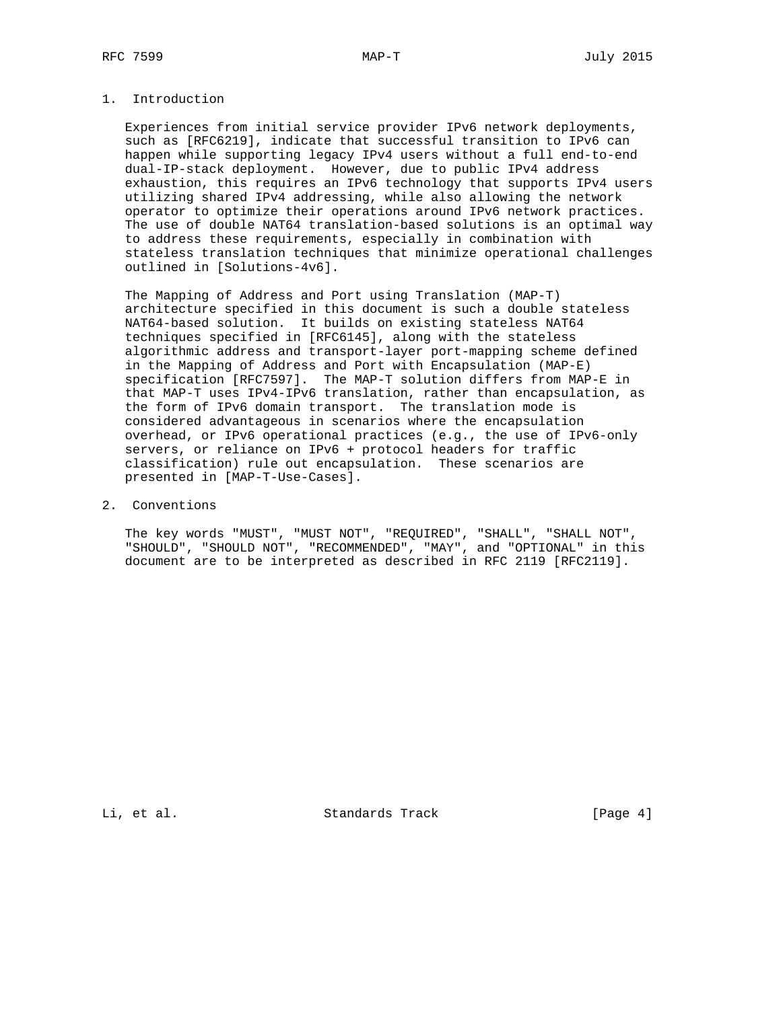# 1. Introduction

 Experiences from initial service provider IPv6 network deployments, such as [RFC6219], indicate that successful transition to IPv6 can happen while supporting legacy IPv4 users without a full end-to-end dual-IP-stack deployment. However, due to public IPv4 address exhaustion, this requires an IPv6 technology that supports IPv4 users utilizing shared IPv4 addressing, while also allowing the network operator to optimize their operations around IPv6 network practices. The use of double NAT64 translation-based solutions is an optimal way to address these requirements, especially in combination with stateless translation techniques that minimize operational challenges outlined in [Solutions-4v6].

 The Mapping of Address and Port using Translation (MAP-T) architecture specified in this document is such a double stateless NAT64-based solution. It builds on existing stateless NAT64 techniques specified in [RFC6145], along with the stateless algorithmic address and transport-layer port-mapping scheme defined in the Mapping of Address and Port with Encapsulation (MAP-E) specification [RFC7597]. The MAP-T solution differs from MAP-E in that MAP-T uses IPv4-IPv6 translation, rather than encapsulation, as the form of IPv6 domain transport. The translation mode is considered advantageous in scenarios where the encapsulation overhead, or IPv6 operational practices (e.g., the use of IPv6-only servers, or reliance on IPv6 + protocol headers for traffic classification) rule out encapsulation. These scenarios are presented in [MAP-T-Use-Cases].

# 2. Conventions

 The key words "MUST", "MUST NOT", "REQUIRED", "SHALL", "SHALL NOT", "SHOULD", "SHOULD NOT", "RECOMMENDED", "MAY", and "OPTIONAL" in this document are to be interpreted as described in RFC 2119 [RFC2119].

Li, et al. Standards Track [Page 4]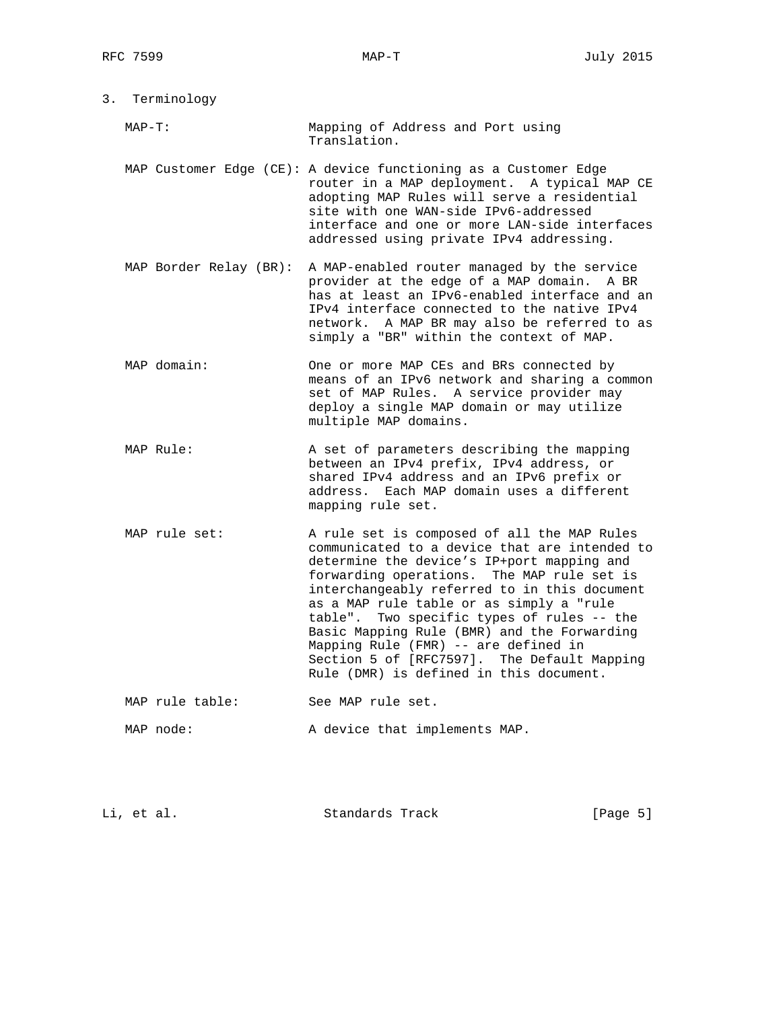| 3. Terminology |                        |                                                                                                                                                                                                                                                                                                                                                                                                                                                                                                                     |  |  |  |
|----------------|------------------------|---------------------------------------------------------------------------------------------------------------------------------------------------------------------------------------------------------------------------------------------------------------------------------------------------------------------------------------------------------------------------------------------------------------------------------------------------------------------------------------------------------------------|--|--|--|
| $MAP-T:$       |                        | Mapping of Address and Port using<br>Translation.                                                                                                                                                                                                                                                                                                                                                                                                                                                                   |  |  |  |
|                |                        | MAP Customer Edge (CE): A device functioning as a Customer Edge<br>router in a MAP deployment. A typical MAP CE<br>adopting MAP Rules will serve a residential<br>site with one WAN-side IPv6-addressed<br>interface and one or more LAN-side interfaces<br>addressed using private IPv4 addressing.                                                                                                                                                                                                                |  |  |  |
|                | MAP Border Relay (BR): | A MAP-enabled router managed by the service<br>provider at the edge of a MAP domain. A BR<br>has at least an IPv6-enabled interface and an<br>IPv4 interface connected to the native IPv4<br>network. A MAP BR may also be referred to as<br>simply a "BR" within the context of MAP.                                                                                                                                                                                                                               |  |  |  |
| MAP domain:    |                        | One or more MAP CEs and BRs connected by<br>means of an IPv6 network and sharing a common<br>set of MAP Rules. A service provider may<br>deploy a single MAP domain or may utilize<br>multiple MAP domains.                                                                                                                                                                                                                                                                                                         |  |  |  |
| MAP Rule:      |                        | A set of parameters describing the mapping<br>between an IPv4 prefix, IPv4 address, or<br>shared IPv4 address and an IPv6 prefix or<br>address. Each MAP domain uses a different<br>mapping rule set.                                                                                                                                                                                                                                                                                                               |  |  |  |
| MAP rule set:  |                        | A rule set is composed of all the MAP Rules<br>communicated to a device that are intended to<br>determine the device's IP+port mapping and<br>forwarding operations. The MAP rule set is<br>interchangeably referred to in this document<br>as a MAP rule table or as simply a "rule<br>table". Two specific types of rules -- the<br>Basic Mapping Rule (BMR) and the Forwarding<br>Mapping Rule (FMR) -- are defined in<br>Section 5 of [RFC7597]. The Default Mapping<br>Rule (DMR) is defined in this document. |  |  |  |
|                | MAP rule table:        | See MAP rule set.                                                                                                                                                                                                                                                                                                                                                                                                                                                                                                   |  |  |  |
| MAP node:      |                        | A device that implements MAP.                                                                                                                                                                                                                                                                                                                                                                                                                                                                                       |  |  |  |
|                |                        |                                                                                                                                                                                                                                                                                                                                                                                                                                                                                                                     |  |  |  |

Li, et al. Standards Track [Page 5]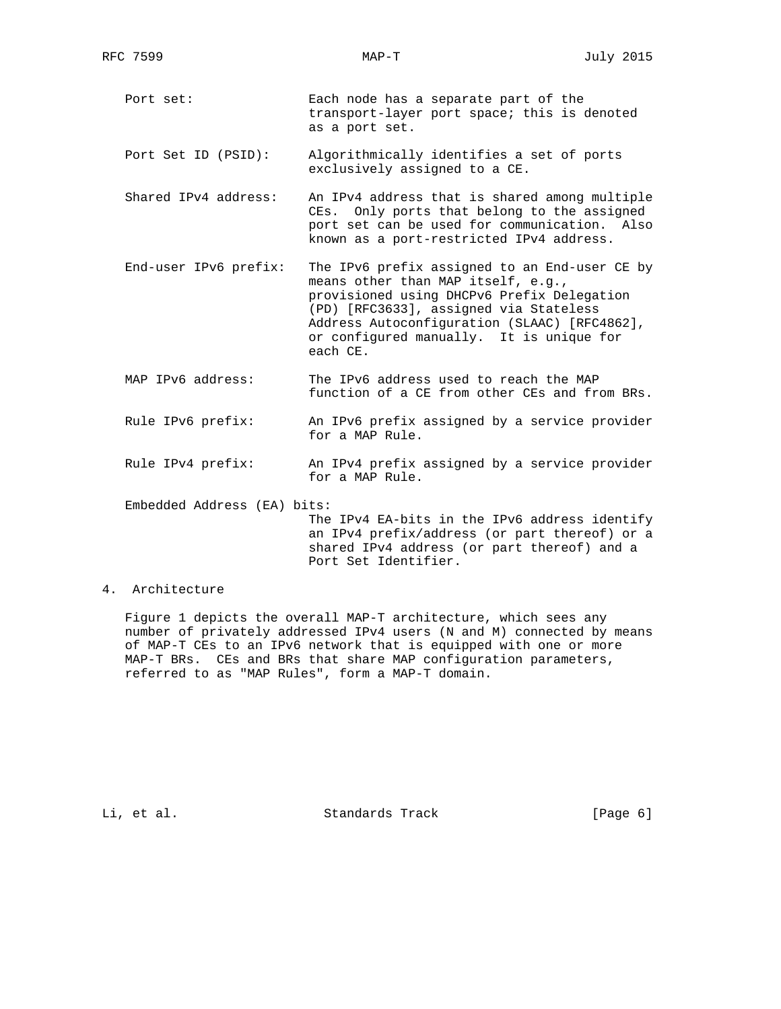- Port set: Fach node has a separate part of the transport-layer port space; this is denoted as a port set.
- Port Set ID (PSID): Algorithmically identifies a set of ports exclusively assigned to a CE.
- Shared IPv4 address: An IPv4 address that is shared among multiple CEs. Only ports that belong to the assigned port set can be used for communication. Also known as a port-restricted IPv4 address.
- End-user IPv6 prefix: The IPv6 prefix assigned to an End-user CE by means other than MAP itself, e.g., provisioned using DHCPv6 Prefix Delegation (PD) [RFC3633], assigned via Stateless Address Autoconfiguration (SLAAC) [RFC4862], or configured manually. It is unique for each CE.
- MAP IPv6 address: The IPv6 address used to reach the MAP function of a CE from other CEs and from BRs.
- Rule IPv6 prefix: An IPv6 prefix assigned by a service provider for a MAP Rule.
- Rule IPv4 prefix: An IPv4 prefix assigned by a service provider for a MAP Rule.
- Embedded Address (EA) bits:

 The IPv4 EA-bits in the IPv6 address identify an IPv4 prefix/address (or part thereof) or a shared IPv4 address (or part thereof) and a Port Set Identifier.

# 4. Architecture

 Figure 1 depicts the overall MAP-T architecture, which sees any number of privately addressed IPv4 users (N and M) connected by means of MAP-T CEs to an IPv6 network that is equipped with one or more MAP-T BRs. CEs and BRs that share MAP configuration parameters, referred to as "MAP Rules", form a MAP-T domain.

Li, et al. Standards Track [Page 6]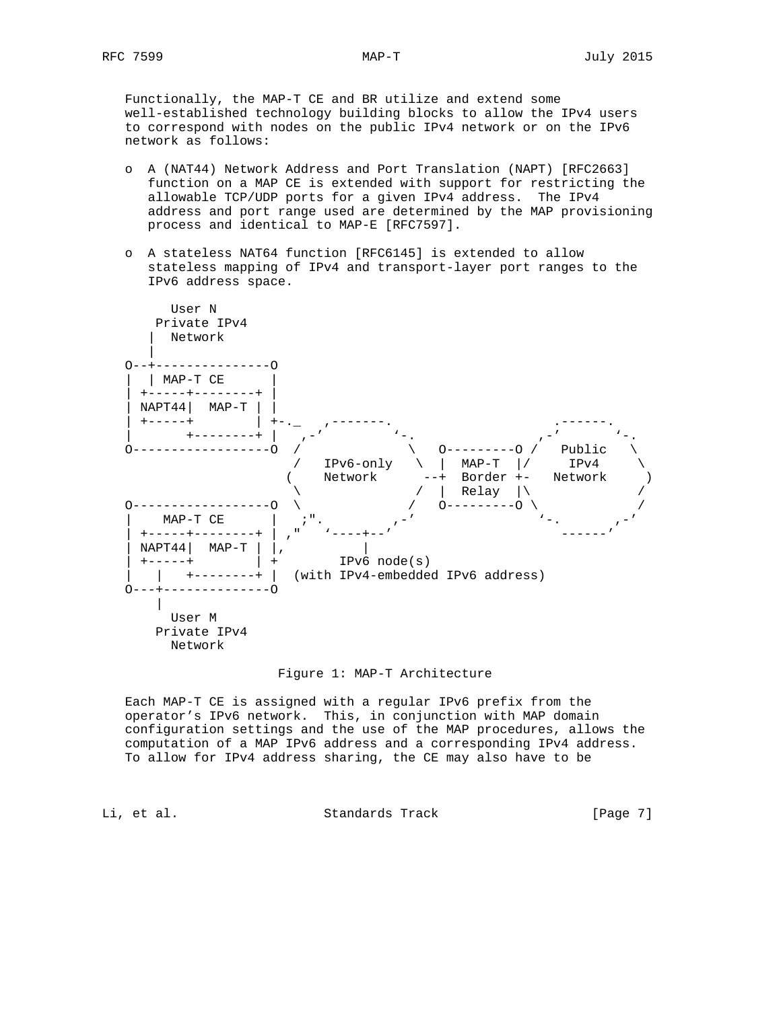Functionally, the MAP-T CE and BR utilize and extend some well-established technology building blocks to allow the IPv4 users to correspond with nodes on the public IPv4 network or on the IPv6 network as follows:

- o A (NAT44) Network Address and Port Translation (NAPT) [RFC2663] function on a MAP CE is extended with support for restricting the allowable TCP/UDP ports for a given IPv4 address. The IPv4 address and port range used are determined by the MAP provisioning process and identical to MAP-E [RFC7597].
- o A stateless NAT64 function [RFC6145] is extended to allow stateless mapping of IPv4 and transport-layer port ranges to the IPv6 address space.



### Figure 1: MAP-T Architecture

 Each MAP-T CE is assigned with a regular IPv6 prefix from the operator's IPv6 network. This, in conjunction with MAP domain configuration settings and the use of the MAP procedures, allows the computation of a MAP IPv6 address and a corresponding IPv4 address. To allow for IPv4 address sharing, the CE may also have to be

Li, et al. Standards Track [Page 7]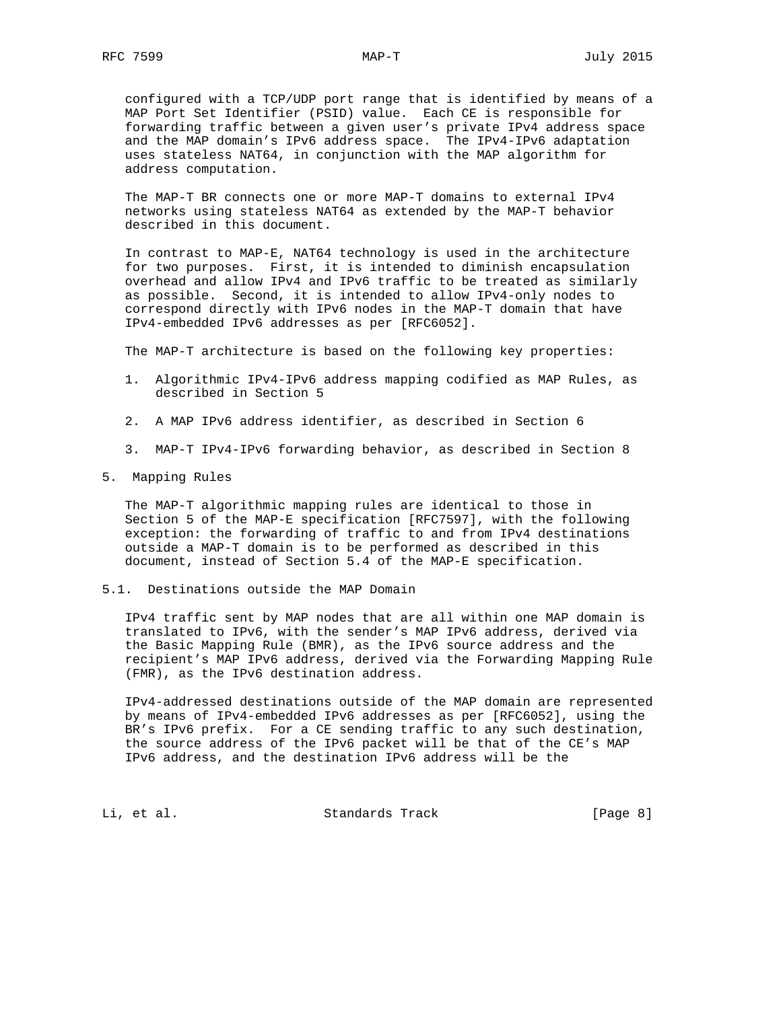configured with a TCP/UDP port range that is identified by means of a MAP Port Set Identifier (PSID) value. Each CE is responsible for forwarding traffic between a given user's private IPv4 address space and the MAP domain's IPv6 address space. The IPv4-IPv6 adaptation uses stateless NAT64, in conjunction with the MAP algorithm for address computation.

 The MAP-T BR connects one or more MAP-T domains to external IPv4 networks using stateless NAT64 as extended by the MAP-T behavior described in this document.

 In contrast to MAP-E, NAT64 technology is used in the architecture for two purposes. First, it is intended to diminish encapsulation overhead and allow IPv4 and IPv6 traffic to be treated as similarly as possible. Second, it is intended to allow IPv4-only nodes to correspond directly with IPv6 nodes in the MAP-T domain that have IPv4-embedded IPv6 addresses as per [RFC6052].

The MAP-T architecture is based on the following key properties:

- 1. Algorithmic IPv4-IPv6 address mapping codified as MAP Rules, as described in Section 5
- 2. A MAP IPv6 address identifier, as described in Section 6
- 3. MAP-T IPv4-IPv6 forwarding behavior, as described in Section 8
- 5. Mapping Rules

 The MAP-T algorithmic mapping rules are identical to those in Section 5 of the MAP-E specification [RFC7597], with the following exception: the forwarding of traffic to and from IPv4 destinations outside a MAP-T domain is to be performed as described in this document, instead of Section 5.4 of the MAP-E specification.

5.1. Destinations outside the MAP Domain

 IPv4 traffic sent by MAP nodes that are all within one MAP domain is translated to IPv6, with the sender's MAP IPv6 address, derived via the Basic Mapping Rule (BMR), as the IPv6 source address and the recipient's MAP IPv6 address, derived via the Forwarding Mapping Rule (FMR), as the IPv6 destination address.

 IPv4-addressed destinations outside of the MAP domain are represented by means of IPv4-embedded IPv6 addresses as per [RFC6052], using the BR's IPv6 prefix. For a CE sending traffic to any such destination, the source address of the IPv6 packet will be that of the CE's MAP IPv6 address, and the destination IPv6 address will be the

Li, et al. Standards Track [Page 8]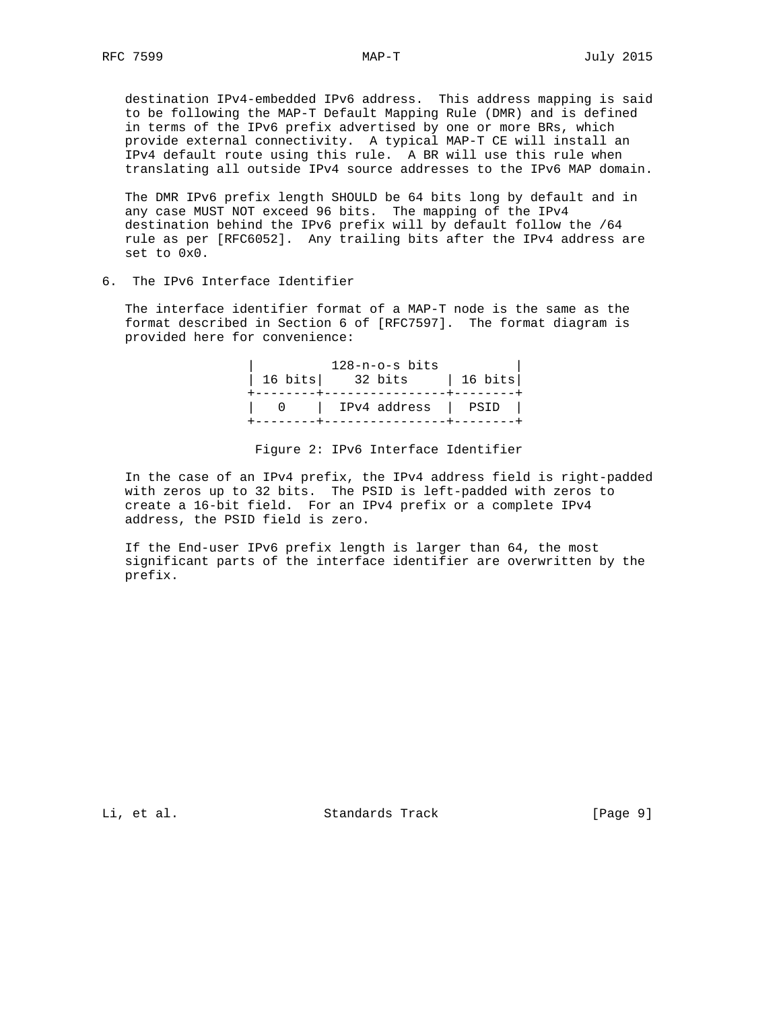destination IPv4-embedded IPv6 address. This address mapping is said to be following the MAP-T Default Mapping Rule (DMR) and is defined in terms of the IPv6 prefix advertised by one or more BRs, which provide external connectivity. A typical MAP-T CE will install an IPv4 default route using this rule. A BR will use this rule when translating all outside IPv4 source addresses to the IPv6 MAP domain.

 The DMR IPv6 prefix length SHOULD be 64 bits long by default and in any case MUST NOT exceed 96 bits. The mapping of the IPv4 destination behind the IPv6 prefix will by default follow the /64 rule as per [RFC6052]. Any trailing bits after the IPv4 address are set to 0x0.

6. The IPv6 Interface Identifier

 The interface identifier format of a MAP-T node is the same as the format described in Section 6 of [RFC7597]. The format diagram is provided here for convenience:

|  | 128-n-o-s bits              |  |
|--|-----------------------------|--|
|  | 16 bits   32 bits   16 bits |  |
|  | 0   IPv4 address   PSID     |  |
|  |                             |  |

### Figure 2: IPv6 Interface Identifier

 In the case of an IPv4 prefix, the IPv4 address field is right-padded with zeros up to 32 bits. The PSID is left-padded with zeros to create a 16-bit field. For an IPv4 prefix or a complete IPv4 address, the PSID field is zero.

 If the End-user IPv6 prefix length is larger than 64, the most significant parts of the interface identifier are overwritten by the prefix.

Li, et al. Standards Track [Page 9]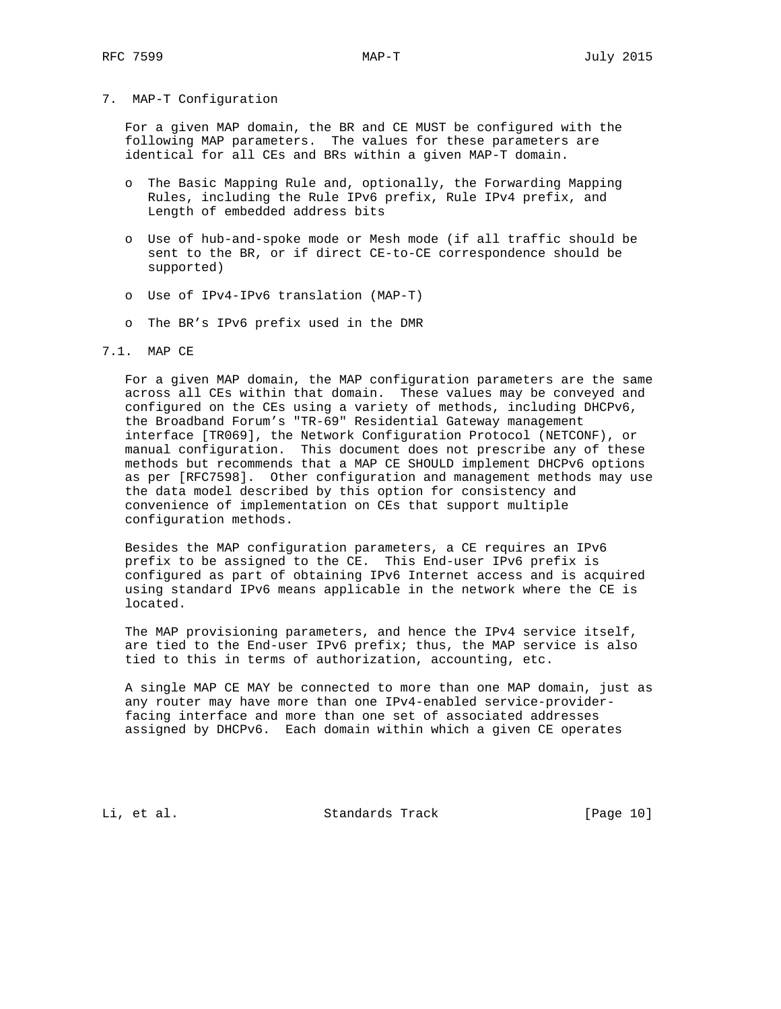## 7. MAP-T Configuration

 For a given MAP domain, the BR and CE MUST be configured with the following MAP parameters. The values for these parameters are identical for all CEs and BRs within a given MAP-T domain.

- o The Basic Mapping Rule and, optionally, the Forwarding Mapping Rules, including the Rule IPv6 prefix, Rule IPv4 prefix, and Length of embedded address bits
- o Use of hub-and-spoke mode or Mesh mode (if all traffic should be sent to the BR, or if direct CE-to-CE correspondence should be supported)
- o Use of IPv4-IPv6 translation (MAP-T)
- o The BR's IPv6 prefix used in the DMR

# 7.1. MAP CE

 For a given MAP domain, the MAP configuration parameters are the same across all CEs within that domain. These values may be conveyed and configured on the CEs using a variety of methods, including DHCPv6, the Broadband Forum's "TR-69" Residential Gateway management interface [TR069], the Network Configuration Protocol (NETCONF), or manual configuration. This document does not prescribe any of these methods but recommends that a MAP CE SHOULD implement DHCPv6 options as per [RFC7598]. Other configuration and management methods may use the data model described by this option for consistency and convenience of implementation on CEs that support multiple configuration methods.

 Besides the MAP configuration parameters, a CE requires an IPv6 prefix to be assigned to the CE. This End-user IPv6 prefix is configured as part of obtaining IPv6 Internet access and is acquired using standard IPv6 means applicable in the network where the CE is located.

 The MAP provisioning parameters, and hence the IPv4 service itself, are tied to the End-user IPv6 prefix; thus, the MAP service is also tied to this in terms of authorization, accounting, etc.

 A single MAP CE MAY be connected to more than one MAP domain, just as any router may have more than one IPv4-enabled service-provider facing interface and more than one set of associated addresses assigned by DHCPv6. Each domain within which a given CE operates

Li, et al. Standards Track [Page 10]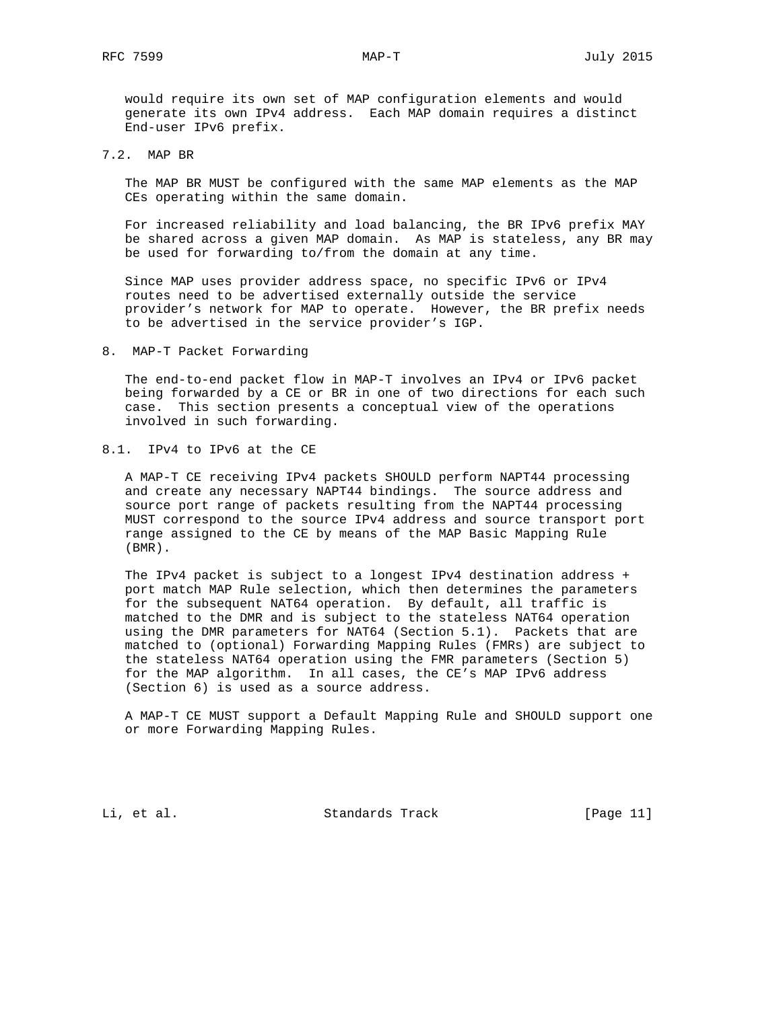would require its own set of MAP configuration elements and would generate its own IPv4 address. Each MAP domain requires a distinct End-user IPv6 prefix.

7.2. MAP BR

 The MAP BR MUST be configured with the same MAP elements as the MAP CEs operating within the same domain.

 For increased reliability and load balancing, the BR IPv6 prefix MAY be shared across a given MAP domain. As MAP is stateless, any BR may be used for forwarding to/from the domain at any time.

 Since MAP uses provider address space, no specific IPv6 or IPv4 routes need to be advertised externally outside the service provider's network for MAP to operate. However, the BR prefix needs to be advertised in the service provider's IGP.

# 8. MAP-T Packet Forwarding

 The end-to-end packet flow in MAP-T involves an IPv4 or IPv6 packet being forwarded by a CE or BR in one of two directions for each such case. This section presents a conceptual view of the operations involved in such forwarding.

## 8.1. IPv4 to IPv6 at the CE

 A MAP-T CE receiving IPv4 packets SHOULD perform NAPT44 processing and create any necessary NAPT44 bindings. The source address and source port range of packets resulting from the NAPT44 processing MUST correspond to the source IPv4 address and source transport port range assigned to the CE by means of the MAP Basic Mapping Rule (BMR).

 The IPv4 packet is subject to a longest IPv4 destination address + port match MAP Rule selection, which then determines the parameters for the subsequent NAT64 operation. By default, all traffic is matched to the DMR and is subject to the stateless NAT64 operation using the DMR parameters for NAT64 (Section 5.1). Packets that are matched to (optional) Forwarding Mapping Rules (FMRs) are subject to the stateless NAT64 operation using the FMR parameters (Section 5) for the MAP algorithm. In all cases, the CE's MAP IPv6 address (Section 6) is used as a source address.

 A MAP-T CE MUST support a Default Mapping Rule and SHOULD support one or more Forwarding Mapping Rules.

Li, et al. Standards Track [Page 11]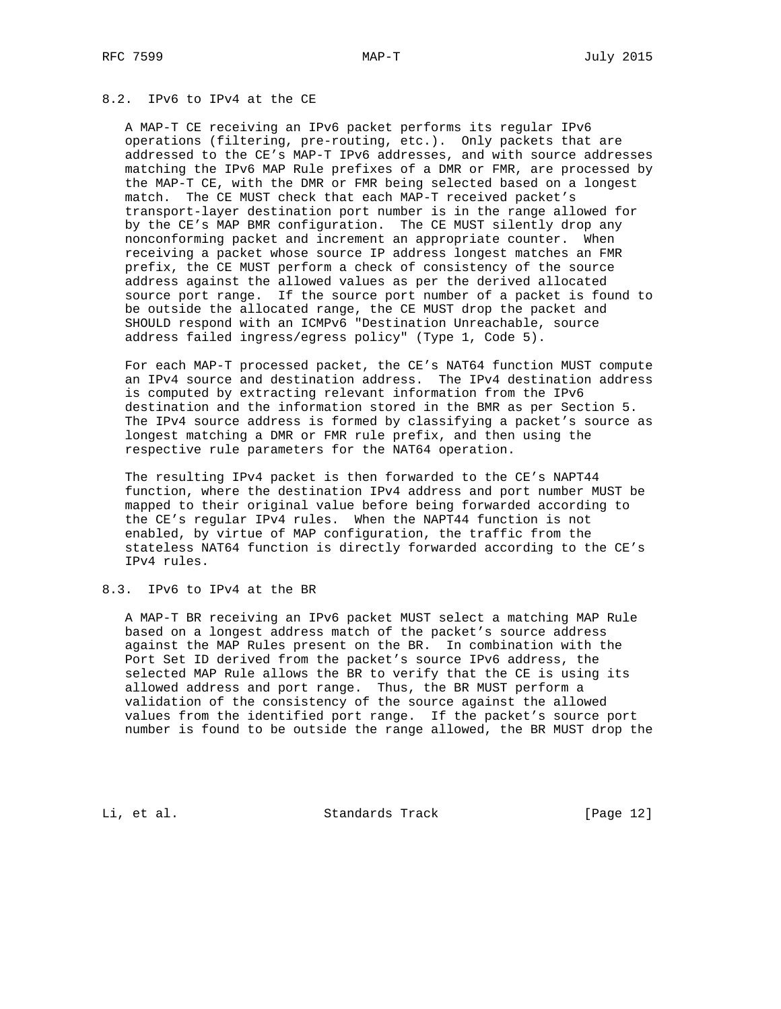# 8.2. IPv6 to IPv4 at the CE

 A MAP-T CE receiving an IPv6 packet performs its regular IPv6 operations (filtering, pre-routing, etc.). Only packets that are addressed to the CE's MAP-T IPv6 addresses, and with source addresses matching the IPv6 MAP Rule prefixes of a DMR or FMR, are processed by the MAP-T CE, with the DMR or FMR being selected based on a longest match. The CE MUST check that each MAP-T received packet's transport-layer destination port number is in the range allowed for by the CE's MAP BMR configuration. The CE MUST silently drop any nonconforming packet and increment an appropriate counter. When receiving a packet whose source IP address longest matches an FMR prefix, the CE MUST perform a check of consistency of the source address against the allowed values as per the derived allocated source port range. If the source port number of a packet is found to be outside the allocated range, the CE MUST drop the packet and SHOULD respond with an ICMPv6 "Destination Unreachable, source address failed ingress/egress policy" (Type 1, Code 5).

 For each MAP-T processed packet, the CE's NAT64 function MUST compute an IPv4 source and destination address. The IPv4 destination address is computed by extracting relevant information from the IPv6 destination and the information stored in the BMR as per Section 5. The IPv4 source address is formed by classifying a packet's source as longest matching a DMR or FMR rule prefix, and then using the respective rule parameters for the NAT64 operation.

 The resulting IPv4 packet is then forwarded to the CE's NAPT44 function, where the destination IPv4 address and port number MUST be mapped to their original value before being forwarded according to the CE's regular IPv4 rules. When the NAPT44 function is not enabled, by virtue of MAP configuration, the traffic from the stateless NAT64 function is directly forwarded according to the CE's IPv4 rules.

# 8.3. IPv6 to IPv4 at the BR

 A MAP-T BR receiving an IPv6 packet MUST select a matching MAP Rule based on a longest address match of the packet's source address against the MAP Rules present on the BR. In combination with the Port Set ID derived from the packet's source IPv6 address, the selected MAP Rule allows the BR to verify that the CE is using its allowed address and port range. Thus, the BR MUST perform a validation of the consistency of the source against the allowed values from the identified port range. If the packet's source port number is found to be outside the range allowed, the BR MUST drop the

Li, et al. Standards Track [Page 12]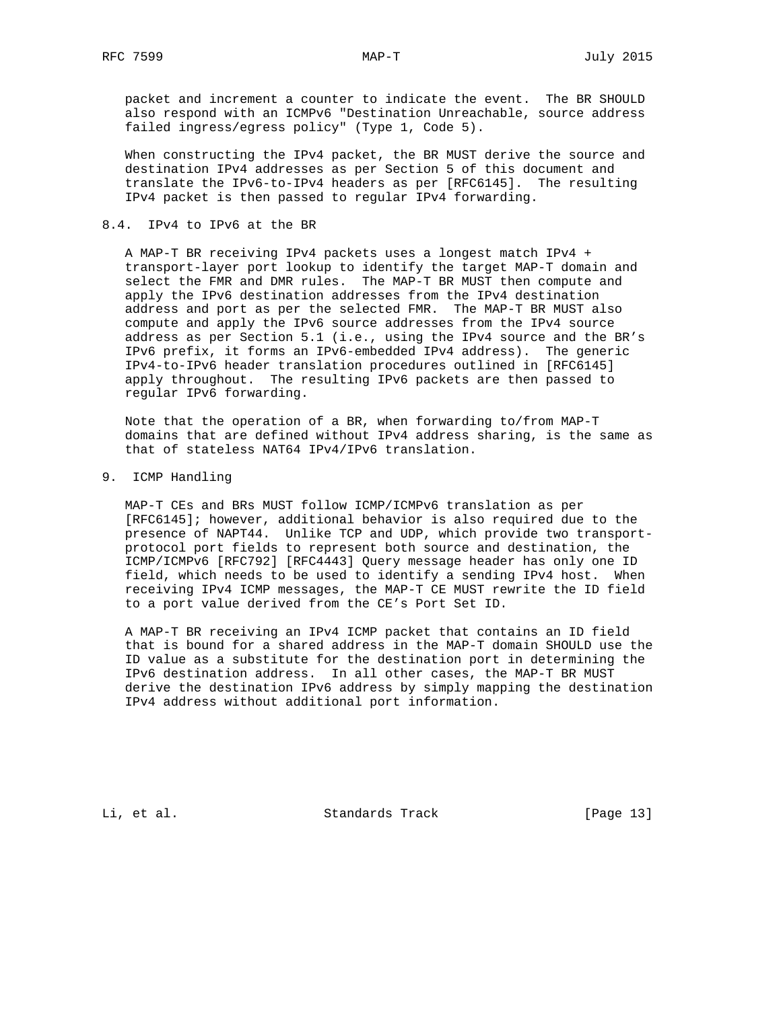packet and increment a counter to indicate the event. The BR SHOULD also respond with an ICMPv6 "Destination Unreachable, source address failed ingress/egress policy" (Type 1, Code 5).

 When constructing the IPv4 packet, the BR MUST derive the source and destination IPv4 addresses as per Section 5 of this document and translate the IPv6-to-IPv4 headers as per [RFC6145]. The resulting IPv4 packet is then passed to regular IPv4 forwarding.

# 8.4. IPv4 to IPv6 at the BR

 A MAP-T BR receiving IPv4 packets uses a longest match IPv4 + transport-layer port lookup to identify the target MAP-T domain and select the FMR and DMR rules. The MAP-T BR MUST then compute and apply the IPv6 destination addresses from the IPv4 destination address and port as per the selected FMR. The MAP-T BR MUST also compute and apply the IPv6 source addresses from the IPv4 source address as per Section 5.1 (i.e., using the IPv4 source and the BR's IPv6 prefix, it forms an IPv6-embedded IPv4 address). The generic IPv4-to-IPv6 header translation procedures outlined in [RFC6145] apply throughout. The resulting IPv6 packets are then passed to regular IPv6 forwarding.

 Note that the operation of a BR, when forwarding to/from MAP-T domains that are defined without IPv4 address sharing, is the same as that of stateless NAT64 IPv4/IPv6 translation.

## 9. ICMP Handling

 MAP-T CEs and BRs MUST follow ICMP/ICMPv6 translation as per [RFC6145]; however, additional behavior is also required due to the presence of NAPT44. Unlike TCP and UDP, which provide two transport protocol port fields to represent both source and destination, the ICMP/ICMPv6 [RFC792] [RFC4443] Query message header has only one ID field, which needs to be used to identify a sending IPv4 host. When receiving IPv4 ICMP messages, the MAP-T CE MUST rewrite the ID field to a port value derived from the CE's Port Set ID.

 A MAP-T BR receiving an IPv4 ICMP packet that contains an ID field that is bound for a shared address in the MAP-T domain SHOULD use the ID value as a substitute for the destination port in determining the IPv6 destination address. In all other cases, the MAP-T BR MUST derive the destination IPv6 address by simply mapping the destination IPv4 address without additional port information.

Li, et al. Standards Track [Page 13]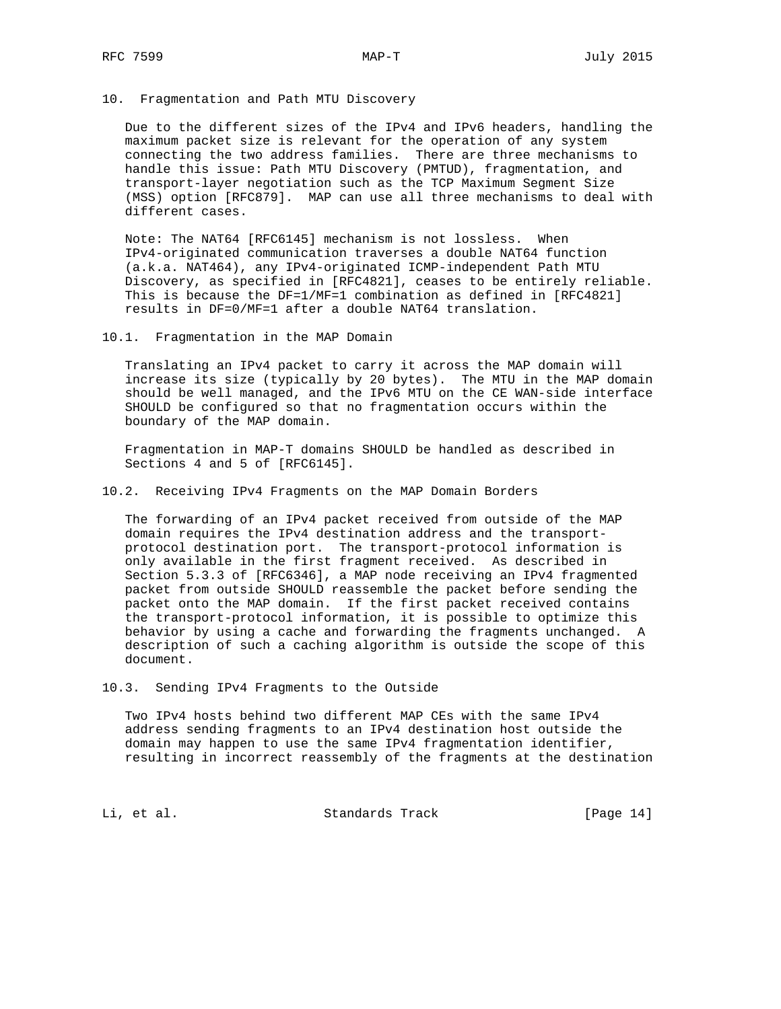## 10. Fragmentation and Path MTU Discovery

 Due to the different sizes of the IPv4 and IPv6 headers, handling the maximum packet size is relevant for the operation of any system connecting the two address families. There are three mechanisms to handle this issue: Path MTU Discovery (PMTUD), fragmentation, and transport-layer negotiation such as the TCP Maximum Segment Size (MSS) option [RFC879]. MAP can use all three mechanisms to deal with different cases.

 Note: The NAT64 [RFC6145] mechanism is not lossless. When IPv4-originated communication traverses a double NAT64 function (a.k.a. NAT464), any IPv4-originated ICMP-independent Path MTU Discovery, as specified in [RFC4821], ceases to be entirely reliable. This is because the DF=1/MF=1 combination as defined in [RFC4821] results in DF=0/MF=1 after a double NAT64 translation.

10.1. Fragmentation in the MAP Domain

 Translating an IPv4 packet to carry it across the MAP domain will increase its size (typically by 20 bytes). The MTU in the MAP domain should be well managed, and the IPv6 MTU on the CE WAN-side interface SHOULD be configured so that no fragmentation occurs within the boundary of the MAP domain.

 Fragmentation in MAP-T domains SHOULD be handled as described in Sections 4 and 5 of [RFC6145].

10.2. Receiving IPv4 Fragments on the MAP Domain Borders

 The forwarding of an IPv4 packet received from outside of the MAP domain requires the IPv4 destination address and the transport protocol destination port. The transport-protocol information is only available in the first fragment received. As described in Section 5.3.3 of [RFC6346], a MAP node receiving an IPv4 fragmented packet from outside SHOULD reassemble the packet before sending the packet onto the MAP domain. If the first packet received contains the transport-protocol information, it is possible to optimize this behavior by using a cache and forwarding the fragments unchanged. A description of such a caching algorithm is outside the scope of this document.

10.3. Sending IPv4 Fragments to the Outside

 Two IPv4 hosts behind two different MAP CEs with the same IPv4 address sending fragments to an IPv4 destination host outside the domain may happen to use the same IPv4 fragmentation identifier, resulting in incorrect reassembly of the fragments at the destination

Li, et al. Standards Track [Page 14]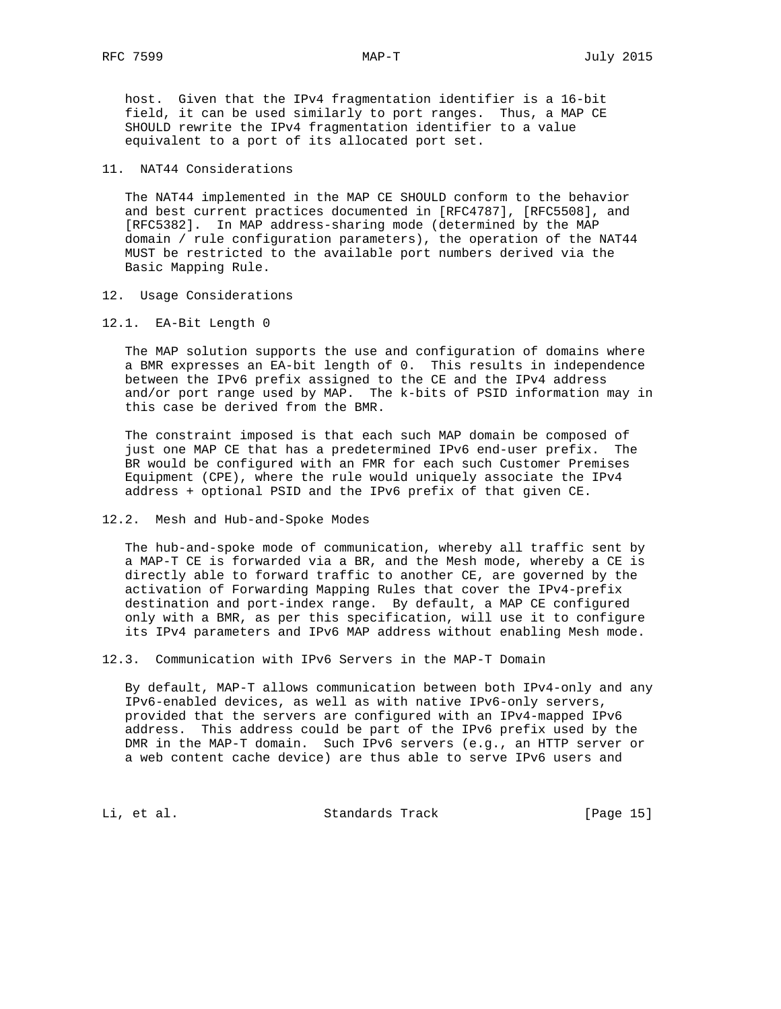host. Given that the IPv4 fragmentation identifier is a 16-bit field, it can be used similarly to port ranges. Thus, a MAP CE SHOULD rewrite the IPv4 fragmentation identifier to a value equivalent to a port of its allocated port set.

## 11. NAT44 Considerations

 The NAT44 implemented in the MAP CE SHOULD conform to the behavior and best current practices documented in [RFC4787], [RFC5508], and [RFC5382]. In MAP address-sharing mode (determined by the MAP domain / rule configuration parameters), the operation of the NAT44 MUST be restricted to the available port numbers derived via the Basic Mapping Rule.

- 12. Usage Considerations
- 12.1. EA-Bit Length 0

 The MAP solution supports the use and configuration of domains where a BMR expresses an EA-bit length of 0. This results in independence between the IPv6 prefix assigned to the CE and the IPv4 address and/or port range used by MAP. The k-bits of PSID information may in this case be derived from the BMR.

 The constraint imposed is that each such MAP domain be composed of just one MAP CE that has a predetermined IPv6 end-user prefix. The BR would be configured with an FMR for each such Customer Premises Equipment (CPE), where the rule would uniquely associate the IPv4 address + optional PSID and the IPv6 prefix of that given CE.

#### 12.2. Mesh and Hub-and-Spoke Modes

 The hub-and-spoke mode of communication, whereby all traffic sent by a MAP-T CE is forwarded via a BR, and the Mesh mode, whereby a CE is directly able to forward traffic to another CE, are governed by the activation of Forwarding Mapping Rules that cover the IPv4-prefix destination and port-index range. By default, a MAP CE configured only with a BMR, as per this specification, will use it to configure its IPv4 parameters and IPv6 MAP address without enabling Mesh mode.

12.3. Communication with IPv6 Servers in the MAP-T Domain

 By default, MAP-T allows communication between both IPv4-only and any IPv6-enabled devices, as well as with native IPv6-only servers, provided that the servers are configured with an IPv4-mapped IPv6 address. This address could be part of the IPv6 prefix used by the DMR in the MAP-T domain. Such IPv6 servers (e.g., an HTTP server or a web content cache device) are thus able to serve IPv6 users and

Li, et al. Standards Track [Page 15]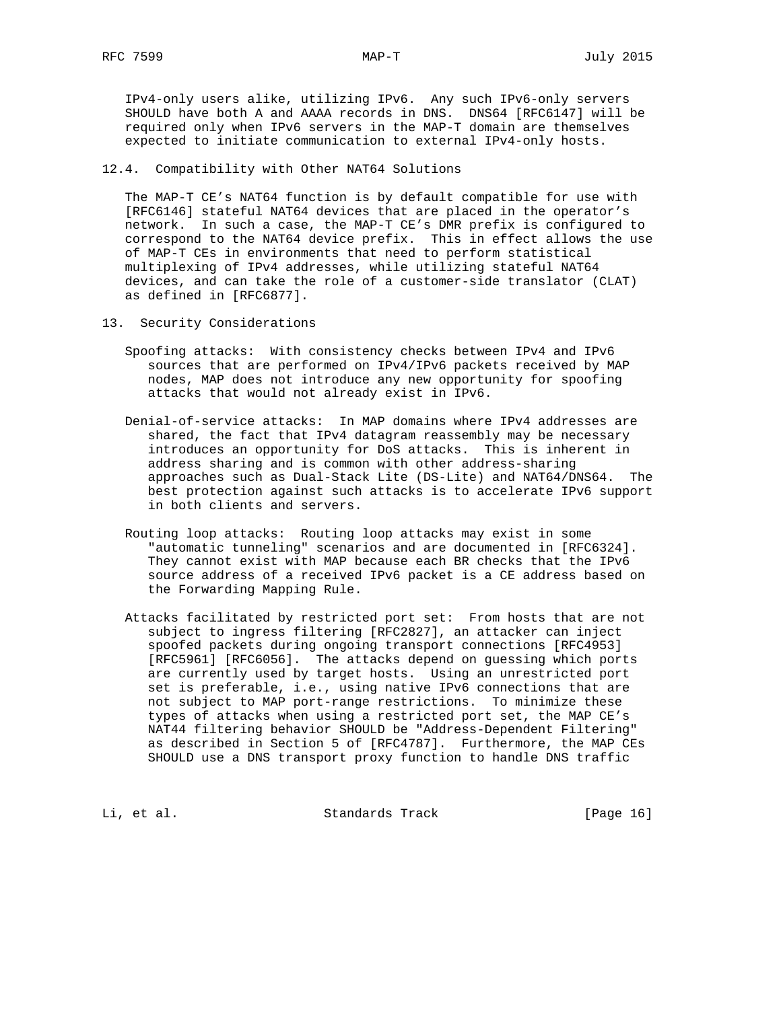IPv4-only users alike, utilizing IPv6. Any such IPv6-only servers SHOULD have both A and AAAA records in DNS. DNS64 [RFC6147] will be required only when IPv6 servers in the MAP-T domain are themselves expected to initiate communication to external IPv4-only hosts.

# 12.4. Compatibility with Other NAT64 Solutions

 The MAP-T CE's NAT64 function is by default compatible for use with [RFC6146] stateful NAT64 devices that are placed in the operator's network. In such a case, the MAP-T CE's DMR prefix is configured to correspond to the NAT64 device prefix. This in effect allows the use of MAP-T CEs in environments that need to perform statistical multiplexing of IPv4 addresses, while utilizing stateful NAT64 devices, and can take the role of a customer-side translator (CLAT) as defined in [RFC6877].

- 13. Security Considerations
	- Spoofing attacks: With consistency checks between IPv4 and IPv6 sources that are performed on IPv4/IPv6 packets received by MAP nodes, MAP does not introduce any new opportunity for spoofing attacks that would not already exist in IPv6.
	- Denial-of-service attacks: In MAP domains where IPv4 addresses are shared, the fact that IPv4 datagram reassembly may be necessary introduces an opportunity for DoS attacks. This is inherent in address sharing and is common with other address-sharing approaches such as Dual-Stack Lite (DS-Lite) and NAT64/DNS64. The best protection against such attacks is to accelerate IPv6 support in both clients and servers.
	- Routing loop attacks: Routing loop attacks may exist in some "automatic tunneling" scenarios and are documented in [RFC6324]. They cannot exist with MAP because each BR checks that the IPv6 source address of a received IPv6 packet is a CE address based on the Forwarding Mapping Rule.
	- Attacks facilitated by restricted port set: From hosts that are not subject to ingress filtering [RFC2827], an attacker can inject spoofed packets during ongoing transport connections [RFC4953] [RFC5961] [RFC6056]. The attacks depend on guessing which ports are currently used by target hosts. Using an unrestricted port set is preferable, i.e., using native IPv6 connections that are not subject to MAP port-range restrictions. To minimize these types of attacks when using a restricted port set, the MAP CE's NAT44 filtering behavior SHOULD be "Address-Dependent Filtering" as described in Section 5 of [RFC4787]. Furthermore, the MAP CEs SHOULD use a DNS transport proxy function to handle DNS traffic

Li, et al. Standards Track [Page 16]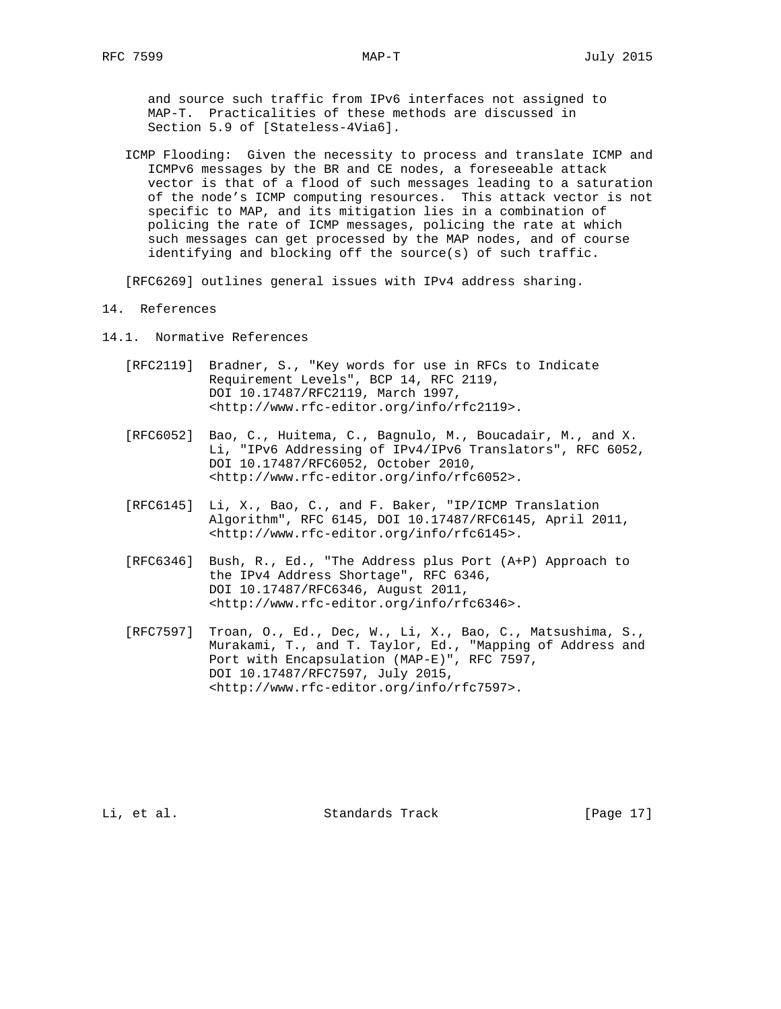and source such traffic from IPv6 interfaces not assigned to MAP-T. Practicalities of these methods are discussed in Section 5.9 of [Stateless-4Via6].

 ICMP Flooding: Given the necessity to process and translate ICMP and ICMPv6 messages by the BR and CE nodes, a foreseeable attack vector is that of a flood of such messages leading to a saturation of the node's ICMP computing resources. This attack vector is not specific to MAP, and its mitigation lies in a combination of policing the rate of ICMP messages, policing the rate at which such messages can get processed by the MAP nodes, and of course identifying and blocking off the source(s) of such traffic.

[RFC6269] outlines general issues with IPv4 address sharing.

- 14. References
- 14.1. Normative References
	- [RFC2119] Bradner, S., "Key words for use in RFCs to Indicate Requirement Levels", BCP 14, RFC 2119, DOI 10.17487/RFC2119, March 1997, <http://www.rfc-editor.org/info/rfc2119>.
	- [RFC6052] Bao, C., Huitema, C., Bagnulo, M., Boucadair, M., and X. Li, "IPv6 Addressing of IPv4/IPv6 Translators", RFC 6052, DOI 10.17487/RFC6052, October 2010, <http://www.rfc-editor.org/info/rfc6052>.
	- [RFC6145] Li, X., Bao, C., and F. Baker, "IP/ICMP Translation Algorithm", RFC 6145, DOI 10.17487/RFC6145, April 2011, <http://www.rfc-editor.org/info/rfc6145>.
	- [RFC6346] Bush, R., Ed., "The Address plus Port (A+P) Approach to the IPv4 Address Shortage", RFC 6346, DOI 10.17487/RFC6346, August 2011, <http://www.rfc-editor.org/info/rfc6346>.
	- [RFC7597] Troan, O., Ed., Dec, W., Li, X., Bao, C., Matsushima, S., Murakami, T., and T. Taylor, Ed., "Mapping of Address and Port with Encapsulation (MAP-E)", RFC 7597, DOI 10.17487/RFC7597, July 2015, <http://www.rfc-editor.org/info/rfc7597>.

Li, et al. Standards Track [Page 17]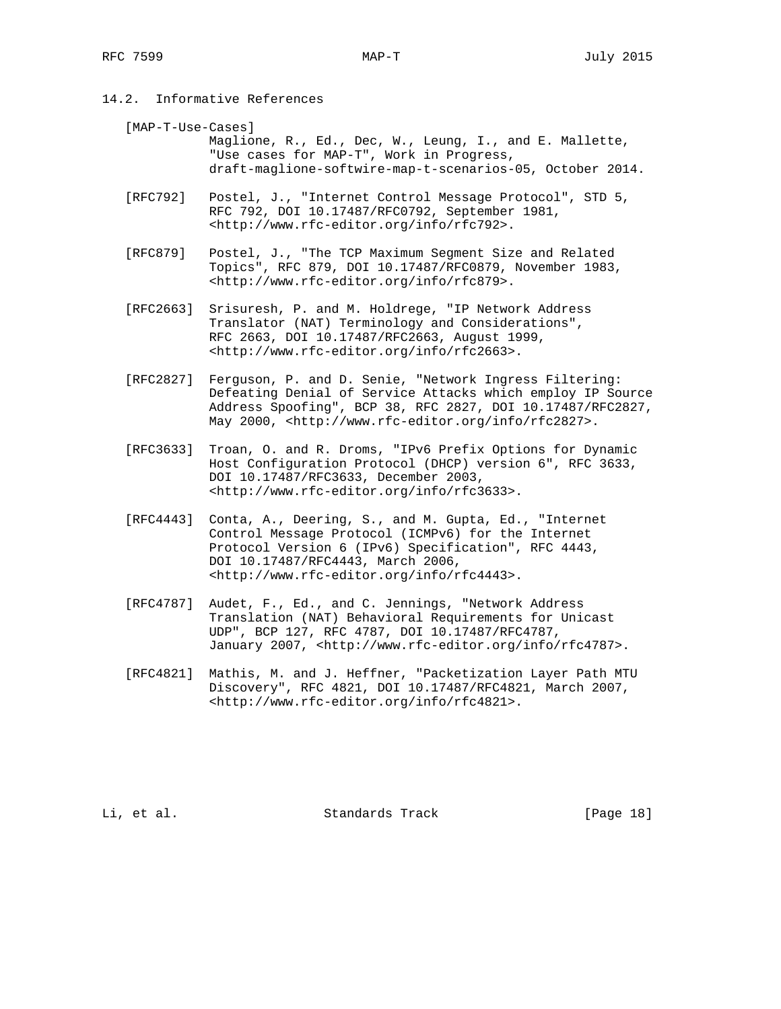14.2. Informative References

 [MAP-T-Use-Cases] Maglione, R., Ed., Dec, W., Leung, I., and E. Mallette, "Use cases for MAP-T", Work in Progress, draft-maglione-softwire-map-t-scenarios-05, October 2014.

- [RFC792] Postel, J., "Internet Control Message Protocol", STD 5, RFC 792, DOI 10.17487/RFC0792, September 1981, <http://www.rfc-editor.org/info/rfc792>.
- [RFC879] Postel, J., "The TCP Maximum Segment Size and Related Topics", RFC 879, DOI 10.17487/RFC0879, November 1983, <http://www.rfc-editor.org/info/rfc879>.
- [RFC2663] Srisuresh, P. and M. Holdrege, "IP Network Address Translator (NAT) Terminology and Considerations", RFC 2663, DOI 10.17487/RFC2663, August 1999, <http://www.rfc-editor.org/info/rfc2663>.
- [RFC2827] Ferguson, P. and D. Senie, "Network Ingress Filtering: Defeating Denial of Service Attacks which employ IP Source Address Spoofing", BCP 38, RFC 2827, DOI 10.17487/RFC2827, May 2000, <http://www.rfc-editor.org/info/rfc2827>.
- [RFC3633] Troan, O. and R. Droms, "IPv6 Prefix Options for Dynamic Host Configuration Protocol (DHCP) version 6", RFC 3633, DOI 10.17487/RFC3633, December 2003, <http://www.rfc-editor.org/info/rfc3633>.
- [RFC4443] Conta, A., Deering, S., and M. Gupta, Ed., "Internet Control Message Protocol (ICMPv6) for the Internet Protocol Version 6 (IPv6) Specification", RFC 4443, DOI 10.17487/RFC4443, March 2006, <http://www.rfc-editor.org/info/rfc4443>.
- [RFC4787] Audet, F., Ed., and C. Jennings, "Network Address Translation (NAT) Behavioral Requirements for Unicast UDP", BCP 127, RFC 4787, DOI 10.17487/RFC4787, January 2007, <http://www.rfc-editor.org/info/rfc4787>.
- [RFC4821] Mathis, M. and J. Heffner, "Packetization Layer Path MTU Discovery", RFC 4821, DOI 10.17487/RFC4821, March 2007, <http://www.rfc-editor.org/info/rfc4821>.

Li, et al. Standards Track [Page 18]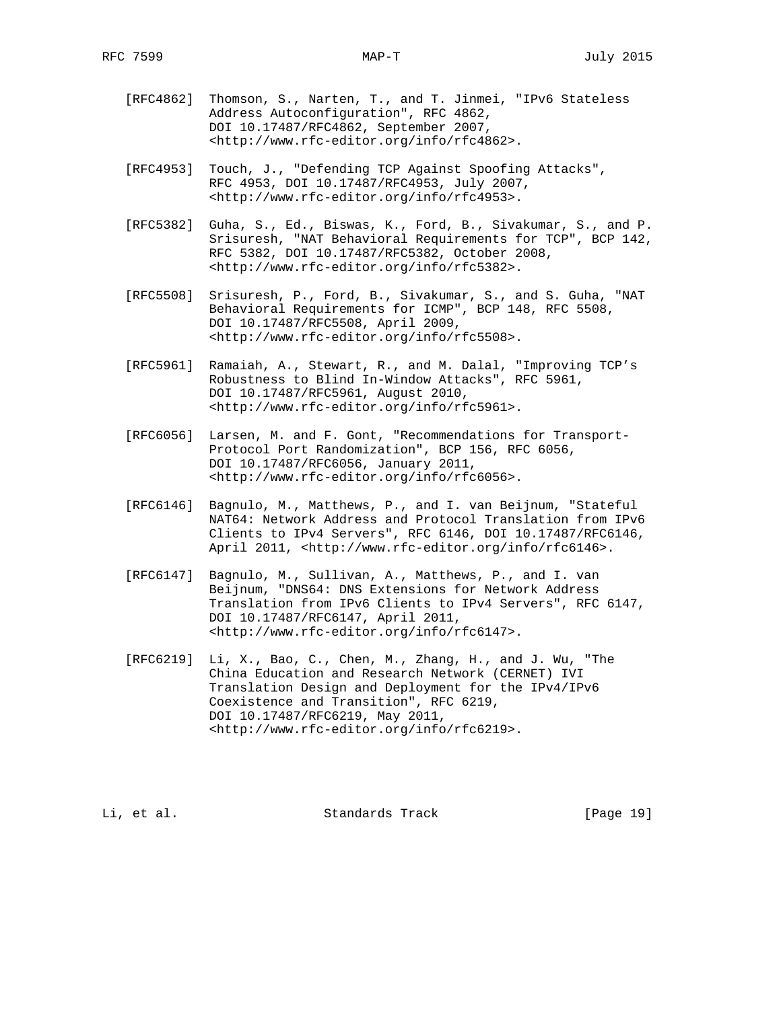- [RFC4862] Thomson, S., Narten, T., and T. Jinmei, "IPv6 Stateless Address Autoconfiguration", RFC 4862, DOI 10.17487/RFC4862, September 2007, <http://www.rfc-editor.org/info/rfc4862>.
- [RFC4953] Touch, J., "Defending TCP Against Spoofing Attacks", RFC 4953, DOI 10.17487/RFC4953, July 2007, <http://www.rfc-editor.org/info/rfc4953>.
- [RFC5382] Guha, S., Ed., Biswas, K., Ford, B., Sivakumar, S., and P. Srisuresh, "NAT Behavioral Requirements for TCP", BCP 142, RFC 5382, DOI 10.17487/RFC5382, October 2008, <http://www.rfc-editor.org/info/rfc5382>.
- [RFC5508] Srisuresh, P., Ford, B., Sivakumar, S., and S. Guha, "NAT Behavioral Requirements for ICMP", BCP 148, RFC 5508, DOI 10.17487/RFC5508, April 2009, <http://www.rfc-editor.org/info/rfc5508>.
- [RFC5961] Ramaiah, A., Stewart, R., and M. Dalal, "Improving TCP's Robustness to Blind In-Window Attacks", RFC 5961, DOI 10.17487/RFC5961, August 2010, <http://www.rfc-editor.org/info/rfc5961>.
- [RFC6056] Larsen, M. and F. Gont, "Recommendations for Transport- Protocol Port Randomization", BCP 156, RFC 6056, DOI 10.17487/RFC6056, January 2011, <http://www.rfc-editor.org/info/rfc6056>.
- [RFC6146] Bagnulo, M., Matthews, P., and I. van Beijnum, "Stateful NAT64: Network Address and Protocol Translation from IPv6 Clients to IPv4 Servers", RFC 6146, DOI 10.17487/RFC6146, April 2011, <http://www.rfc-editor.org/info/rfc6146>.
- [RFC6147] Bagnulo, M., Sullivan, A., Matthews, P., and I. van Beijnum, "DNS64: DNS Extensions for Network Address Translation from IPv6 Clients to IPv4 Servers", RFC 6147, DOI 10.17487/RFC6147, April 2011, <http://www.rfc-editor.org/info/rfc6147>.
- [RFC6219] Li, X., Bao, C., Chen, M., Zhang, H., and J. Wu, "The China Education and Research Network (CERNET) IVI Translation Design and Deployment for the IPv4/IPv6 Coexistence and Transition", RFC 6219, DOI 10.17487/RFC6219, May 2011, <http://www.rfc-editor.org/info/rfc6219>.

Li, et al. Standards Track [Page 19]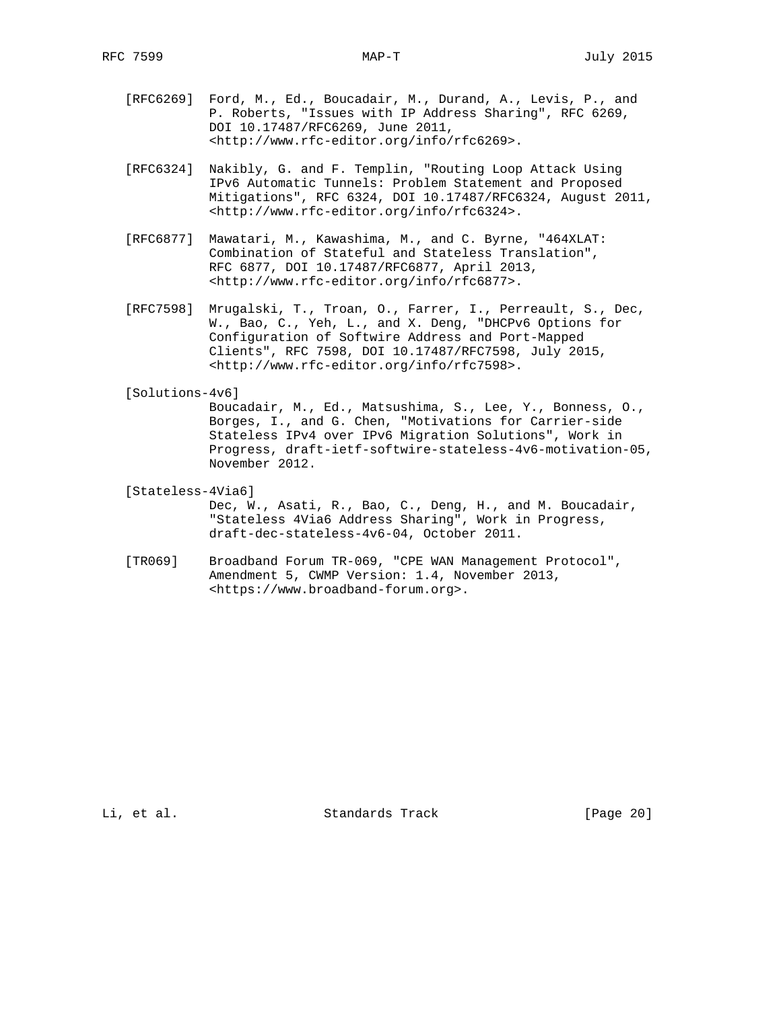- [RFC6269] Ford, M., Ed., Boucadair, M., Durand, A., Levis, P., and P. Roberts, "Issues with IP Address Sharing", RFC 6269, DOI 10.17487/RFC6269, June 2011, <http://www.rfc-editor.org/info/rfc6269>.
- [RFC6324] Nakibly, G. and F. Templin, "Routing Loop Attack Using IPv6 Automatic Tunnels: Problem Statement and Proposed Mitigations", RFC 6324, DOI 10.17487/RFC6324, August 2011, <http://www.rfc-editor.org/info/rfc6324>.
- [RFC6877] Mawatari, M., Kawashima, M., and C. Byrne, "464XLAT: Combination of Stateful and Stateless Translation", RFC 6877, DOI 10.17487/RFC6877, April 2013, <http://www.rfc-editor.org/info/rfc6877>.
- [RFC7598] Mrugalski, T., Troan, O., Farrer, I., Perreault, S., Dec, W., Bao, C., Yeh, L., and X. Deng, "DHCPv6 Options for Configuration of Softwire Address and Port-Mapped Clients", RFC 7598, DOI 10.17487/RFC7598, July 2015, <http://www.rfc-editor.org/info/rfc7598>.

[Solutions-4v6]

 Boucadair, M., Ed., Matsushima, S., Lee, Y., Bonness, O., Borges, I., and G. Chen, "Motivations for Carrier-side Stateless IPv4 over IPv6 Migration Solutions", Work in Progress, draft-ietf-softwire-stateless-4v6-motivation-05, November 2012.

[Stateless-4Via6]

 Dec, W., Asati, R., Bao, C., Deng, H., and M. Boucadair, "Stateless 4Via6 Address Sharing", Work in Progress, draft-dec-stateless-4v6-04, October 2011.

 [TR069] Broadband Forum TR-069, "CPE WAN Management Protocol", Amendment 5, CWMP Version: 1.4, November 2013, <https://www.broadband-forum.org>.

Li, et al. Standards Track [Page 20]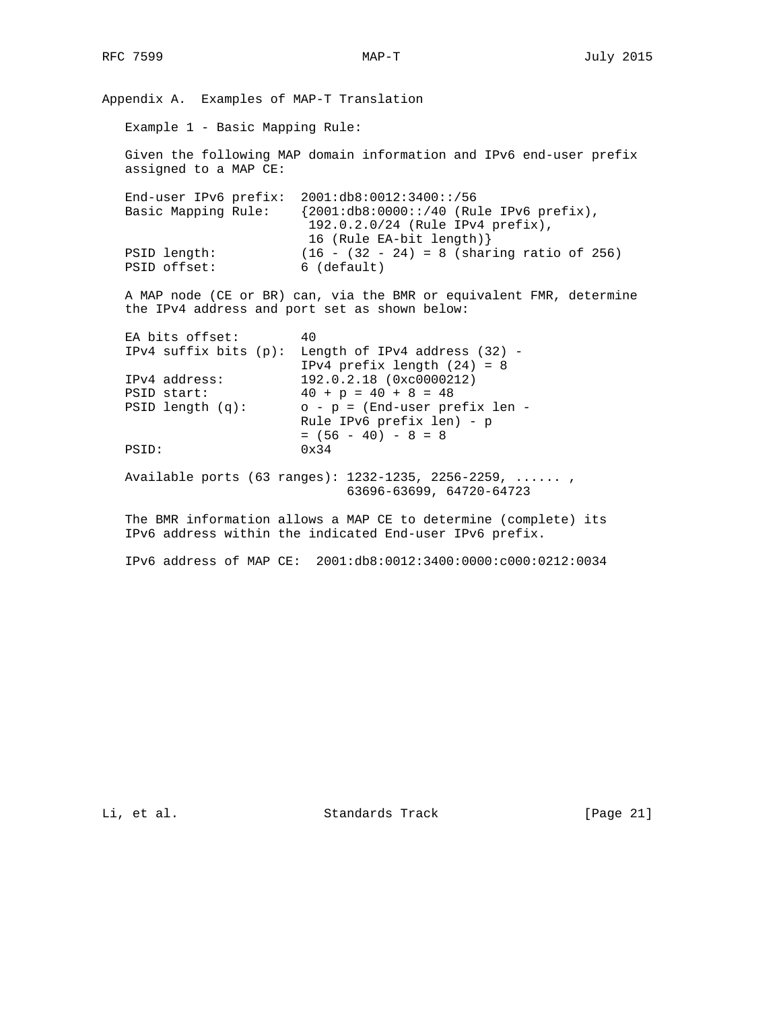Appendix A. Examples of MAP-T Translation Example 1 - Basic Mapping Rule: Given the following MAP domain information and IPv6 end-user prefix assigned to a MAP CE: End-user IPv6 prefix: 2001:db8:0012:3400::/56 Basic Mapping Rule: {2001:db8:0000::/40 (Rule IPv6 prefix), 192.0.2.0/24 (Rule IPv4 prefix), 16 (Rule EA-bit length)} PSID length: (16 - (32 - 24) = 8 (sharing ratio of 256) PSID offset: 6 (default) A MAP node (CE or BR) can, via the BMR or equivalent FMR, determine the IPv4 address and port set as shown below: EA bits offset: 40 IPv4 suffix bits (p): Length of IPv4 address (32) - IPv4 prefix length (24) = 8 IPv4 address: 192.0.2.18 (0xc0000212)<br>PSID start:  $40 + p = 40 + 8 = 48$  $40 + p = 40 + 8 = 48$  PSID length (q): o - p = (End-user prefix len - Rule IPv6 prefix len) - p  $= (56 - 40) - 8 = 8$ PSID:  $0x34$  Available ports (63 ranges): 1232-1235, 2256-2259, ...... , 63696-63699, 64720-64723 The BMR information allows a MAP CE to determine (complete) its IPv6 address within the indicated End-user IPv6 prefix.

IPv6 address of MAP CE: 2001:db8:0012:3400:0000:c000:0212:0034

Li, et al. Standards Track [Page 21]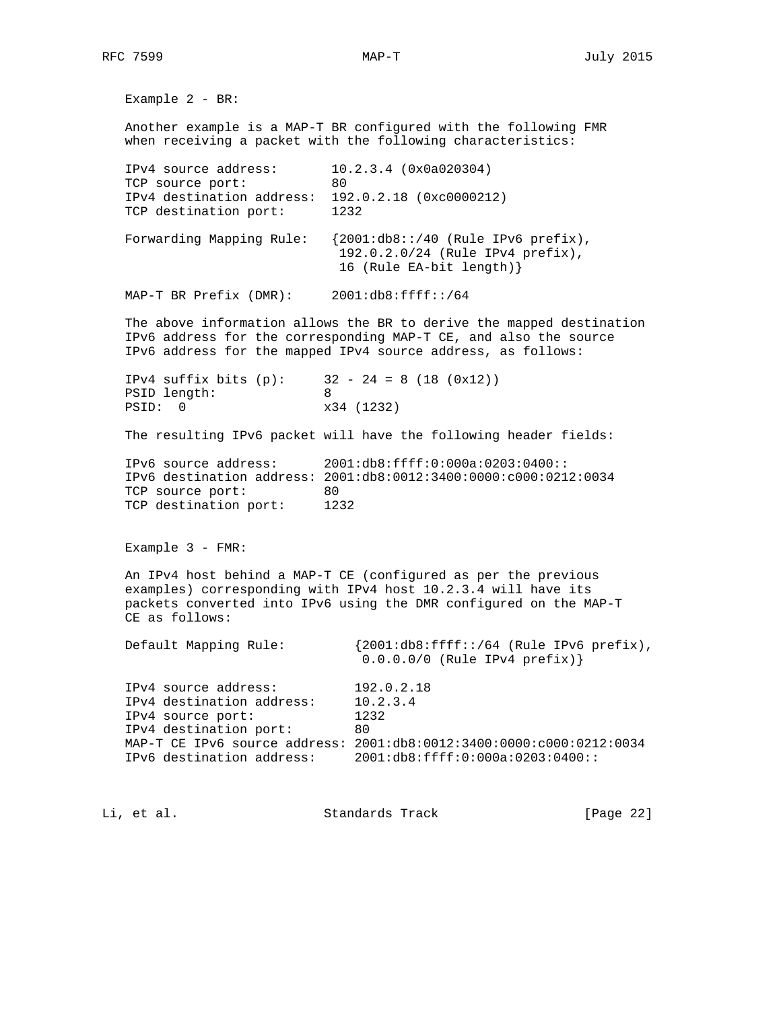Example 2 - BR: Another example is a MAP-T BR configured with the following FMR when receiving a packet with the following characteristics: IPv4 source address: 10.2.3.4 (0x0a020304) TCP source port: 80 IPv4 destination address: 192.0.2.18 (0xc0000212) TCP destination port: 1232 Forwarding Mapping Rule: {2001:db8::/40 (Rule IPv6 prefix), 192.0.2.0/24 (Rule IPv4 prefix), 16 (Rule EA-bit length)} MAP-T BR Prefix (DMR): 2001:db8:ffff::/64 The above information allows the BR to derive the mapped destination IPv6 address for the corresponding MAP-T CE, and also the source IPv6 address for the mapped IPv4 source address, as follows: IPv4 suffix bits  $(p):$  32 - 24 = 8 (18 (0x12)) PSID length: 8 PSID: 0  $x34$  (1232) The resulting IPv6 packet will have the following header fields: IPv6 source address: 2001:db8:ffff:0:000a:0203:0400:: IPv6 destination address: 2001:db8:0012:3400:0000:c000:0212:0034 TCP source port: 80 TCP destination port: 1232 Example 3 - FMR: An IPv4 host behind a MAP-T CE (configured as per the previous examples) corresponding with IPv4 host 10.2.3.4 will have its packets converted into IPv6 using the DMR configured on the MAP-T CE as follows: Default Mapping Rule: {2001:db8:ffff::/64 (Rule IPv6 prefix), 0.0.0.0/0 (Rule IPv4 prefix)} IPv4 source address: 192.0.2.18 IPv4 destination address: 10.2.3.4 IPv4 source port: 1232 IPv4 destination port: 80 MAP-T CE IPv6 source address: 2001:db8:0012:3400:0000:c000:0212:0034 IPv6 destination address: 2001:db8:ffff:0:000a:0203:0400::

Li, et al. Standards Track [Page 22]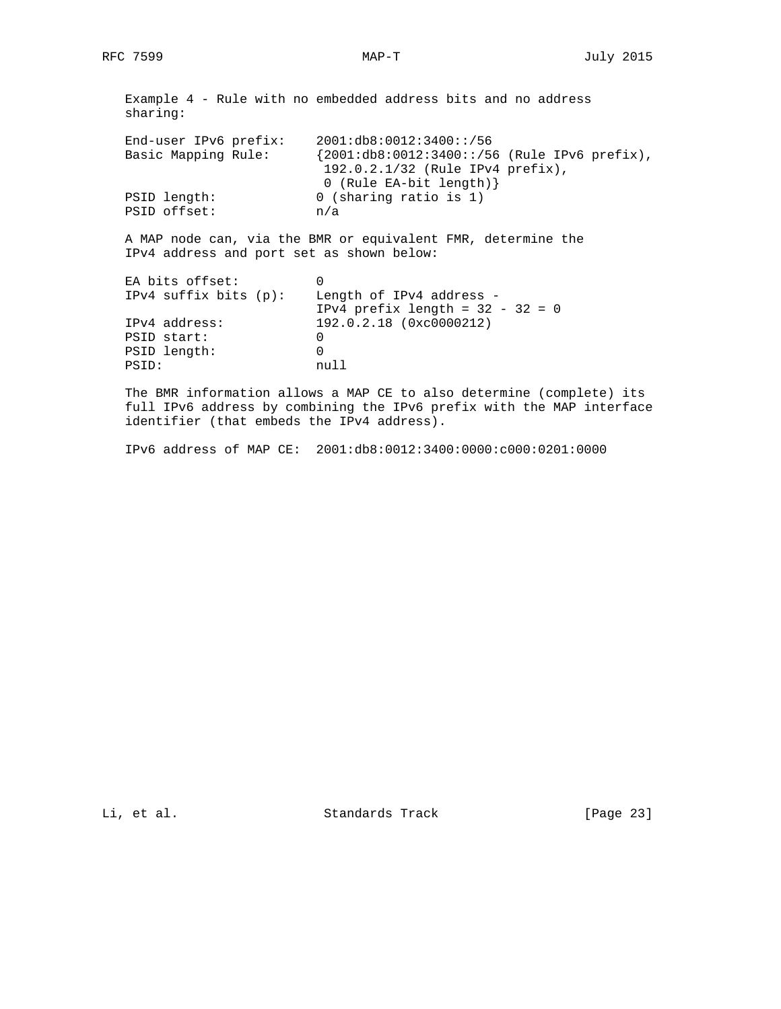Example 4 - Rule with no embedded address bits and no address sharing: End-user IPv6 prefix: 2001:db8:0012:3400::/56 Basic Mapping Rule: {2001:db8:0012:3400::/56 (Rule IPv6 prefix), 192.0.2.1/32 (Rule IPv4 prefix), PSID length:  $0$  (Rule EA-bit length) <br>0 (sharing ratio is 1) 0 (sharing ratio is 1) PSID offset: n/a A MAP node can, via the BMR or equivalent FMR, determine the IPv4 address and port set as shown below: EA bits offset: 0 IPv4 suffix bits (p): Length of IPv4 address - IPv4 prefix length = 32 - 32 = 0 IPv4 address: 192.0.2.18 (0xc0000212) IPv4 address: 19<br>PSID start: 0

PSID length: 0<br>PSID: 0<br>null PSID: The BMR information allows a MAP CE to also determine (complete) its

 full IPv6 address by combining the IPv6 prefix with the MAP interface identifier (that embeds the IPv4 address).

IPv6 address of MAP CE: 2001:db8:0012:3400:0000:c000:0201:0000

Li, et al. Standards Track [Page 23]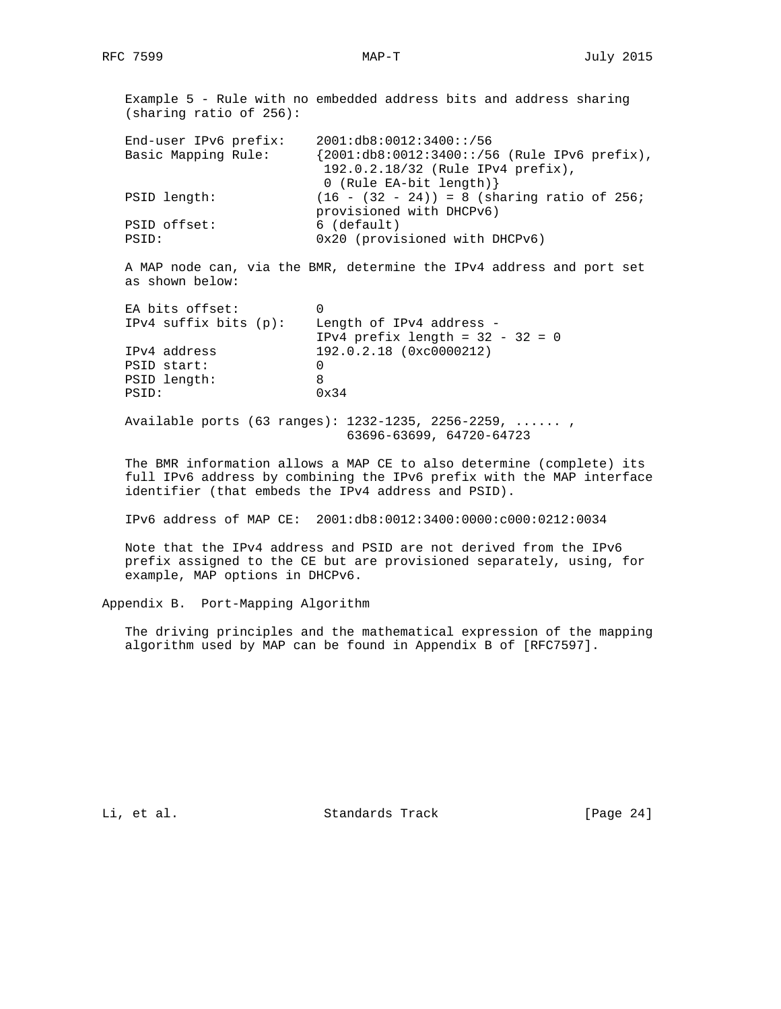Example 5 - Rule with no embedded address bits and address sharing (sharing ratio of 256): End-user IPv6 prefix: 2001:db8:0012:3400::/56 Basic Mapping Rule: {2001:db8:0012:3400::/56 (Rule IPv6 prefix), 192.0.2.18/32 (Rule IPv4 prefix), 0 (Rule EA-bit length)} PSID length: (16 - (32 - 24)) = 8 (sharing ratio of 256; provisioned with DHCPv6) PSID offset: 6 (default) PSID:  $0x20$  (provisioned with DHCPv6)

 A MAP node can, via the BMR, determine the IPv4 address and port set as shown below:

| EA bits offset:<br>$IPv4$ suffix bits $(p)$ : | Length of IPv4 address -           |
|-----------------------------------------------|------------------------------------|
|                                               | IPv4 prefix length = $32 - 32 = 0$ |
| IPv4 address                                  | 192.0.2.18 (0xc0000212)            |
| PSID start:                                   |                                    |
| PSID length:                                  |                                    |
| PSTD:                                         | $0 \times 34$                      |

 Available ports (63 ranges): 1232-1235, 2256-2259, ...... , 63696-63699, 64720-64723

 The BMR information allows a MAP CE to also determine (complete) its full IPv6 address by combining the IPv6 prefix with the MAP interface identifier (that embeds the IPv4 address and PSID).

IPv6 address of MAP CE: 2001:db8:0012:3400:0000:c000:0212:0034

 Note that the IPv4 address and PSID are not derived from the IPv6 prefix assigned to the CE but are provisioned separately, using, for example, MAP options in DHCPv6.

Appendix B. Port-Mapping Algorithm

 The driving principles and the mathematical expression of the mapping algorithm used by MAP can be found in Appendix B of [RFC7597].

Li, et al. Standards Track [Page 24]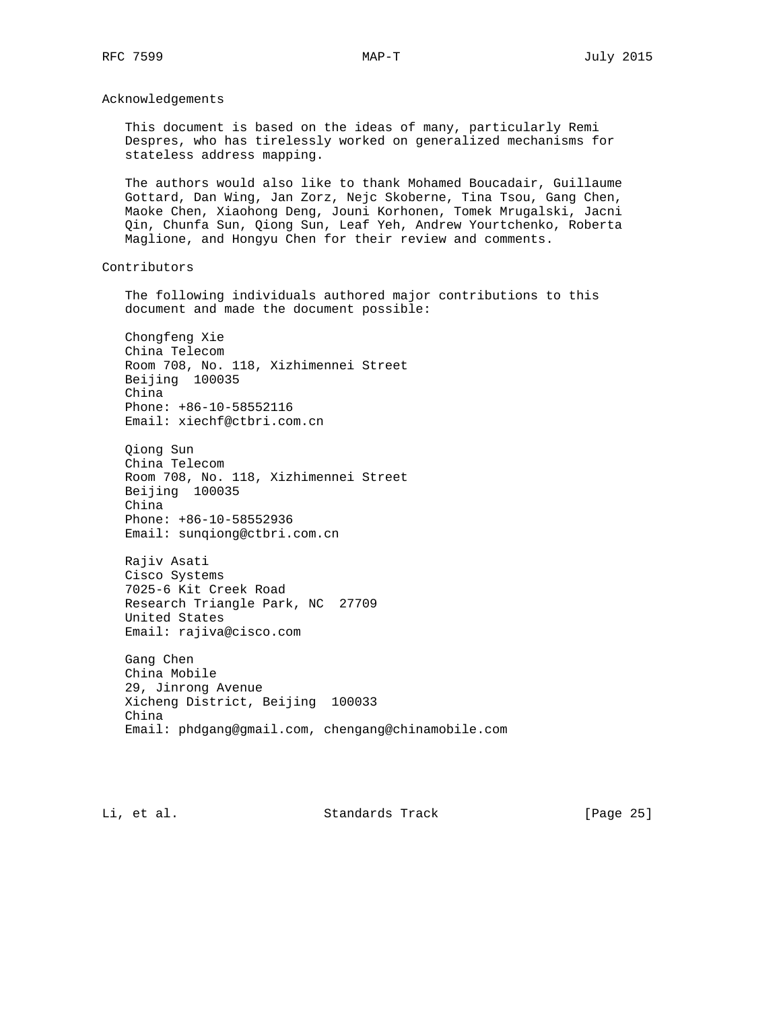Acknowledgements

 This document is based on the ideas of many, particularly Remi Despres, who has tirelessly worked on generalized mechanisms for stateless address mapping.

 The authors would also like to thank Mohamed Boucadair, Guillaume Gottard, Dan Wing, Jan Zorz, Nejc Skoberne, Tina Tsou, Gang Chen, Maoke Chen, Xiaohong Deng, Jouni Korhonen, Tomek Mrugalski, Jacni Qin, Chunfa Sun, Qiong Sun, Leaf Yeh, Andrew Yourtchenko, Roberta Maglione, and Hongyu Chen for their review and comments.

Contributors

 The following individuals authored major contributions to this document and made the document possible:

 Chongfeng Xie China Telecom Room 708, No. 118, Xizhimennei Street Beijing 100035 China Phone: +86-10-58552116 Email: xiechf@ctbri.com.cn

 Qiong Sun China Telecom Room 708, No. 118, Xizhimennei Street Beijing 100035 China Phone: +86-10-58552936 Email: sunqiong@ctbri.com.cn

 Rajiv Asati Cisco Systems 7025-6 Kit Creek Road Research Triangle Park, NC 27709 United States Email: rajiva@cisco.com

 Gang Chen China Mobile 29, Jinrong Avenue Xicheng District, Beijing 100033 China Email: phdgang@gmail.com, chengang@chinamobile.com

Li, et al. Standards Track [Page 25]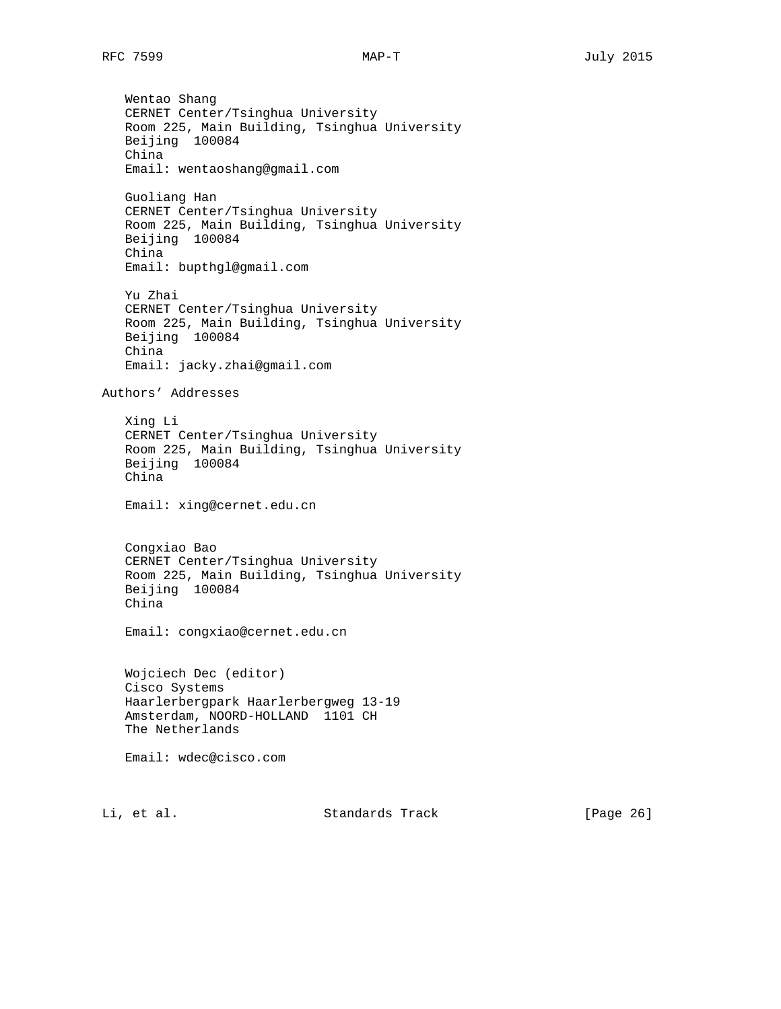Wentao Shang CERNET Center/Tsinghua University Room 225, Main Building, Tsinghua University Beijing 100084 China Email: wentaoshang@gmail.com Guoliang Han CERNET Center/Tsinghua University Room 225, Main Building, Tsinghua University Beijing 100084 China Email: bupthgl@gmail.com Yu Zhai CERNET Center/Tsinghua University Room 225, Main Building, Tsinghua University Beijing 100084 China Email: jacky.zhai@gmail.com Authors' Addresses Xing Li CERNET Center/Tsinghua University Room 225, Main Building, Tsinghua University Beijing 100084 China Email: xing@cernet.edu.cn Congxiao Bao CERNET Center/Tsinghua University Room 225, Main Building, Tsinghua University Beijing 100084 China Email: congxiao@cernet.edu.cn Wojciech Dec (editor) Cisco Systems Haarlerbergpark Haarlerbergweg 13-19 Amsterdam, NOORD-HOLLAND 1101 CH The Netherlands Email: wdec@cisco.com

Li, et al. Standards Track [Page 26]